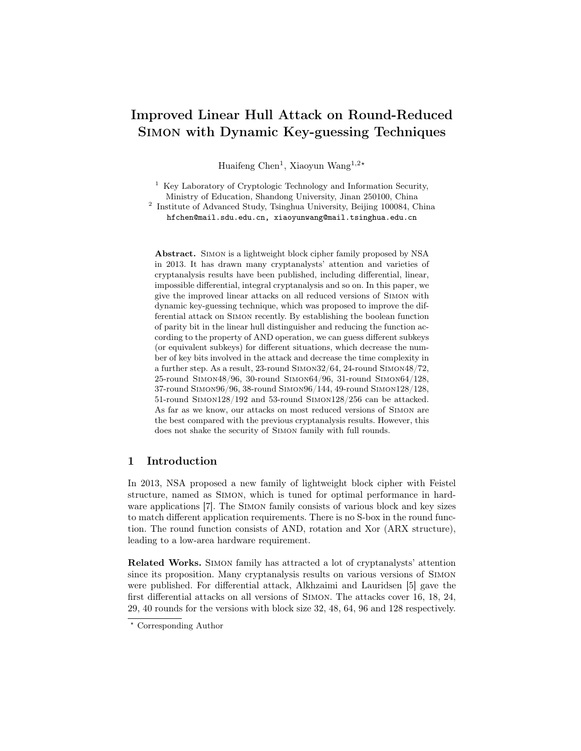# Improved Linear Hull Attack on Round-Reduced Simon with Dynamic Key-guessing Techniques

Huaifeng Chen<sup>1</sup>, Xiaoyun Wang<sup>1,2\*</sup>

<sup>1</sup> Key Laboratory of Cryptologic Technology and Information Security, Ministry of Education, Shandong University, Jinan 250100, China

<sup>2</sup> Institute of Advanced Study, Tsinghua University, Beijing 100084, China hfchen@mail.sdu.edu.cn, xiaoyunwang@mail.tsinghua.edu.cn

Abstract. Simon is a lightweight block cipher family proposed by NSA in 2013. It has drawn many cryptanalysts' attention and varieties of cryptanalysis results have been published, including differential, linear, impossible differential, integral cryptanalysis and so on. In this paper, we give the improved linear attacks on all reduced versions of Simon with dynamic key-guessing technique, which was proposed to improve the differential attack on Simon recently. By establishing the boolean function of parity bit in the linear hull distinguisher and reducing the function according to the property of AND operation, we can guess different subkeys (or equivalent subkeys) for different situations, which decrease the number of key bits involved in the attack and decrease the time complexity in a further step. As a result, 23-round Simon32/64, 24-round Simon48/72, 25-round Simon48/96, 30-round Simon64/96, 31-round Simon64/128, 37-round Simon96/96, 38-round Simon96/144, 49-round Simon128/128, 51-round Simon128/192 and 53-round Simon128/256 can be attacked. As far as we know, our attacks on most reduced versions of Simon are the best compared with the previous cryptanalysis results. However, this does not shake the security of Simon family with full rounds.

# 1 Introduction

In 2013, NSA proposed a new family of lightweight block cipher with Feistel structure, named as Simon, which is tuned for optimal performance in hardware applications [7]. The SIMON family consists of various block and key sizes to match different application requirements. There is no S-box in the round function. The round function consists of AND, rotation and Xor (ARX structure), leading to a low-area hardware requirement.

Related Works. Simon family has attracted a lot of cryptanalysts' attention since its proposition. Many cryptanalysis results on various versions of Simon were published. For differential attack, Alkhzaimi and Lauridsen [5] gave the first differential attacks on all versions of Simon. The attacks cover 16, 18, 24, 29, 40 rounds for the versions with block size 32, 48, 64, 96 and 128 respectively.

<sup>?</sup> Corresponding Author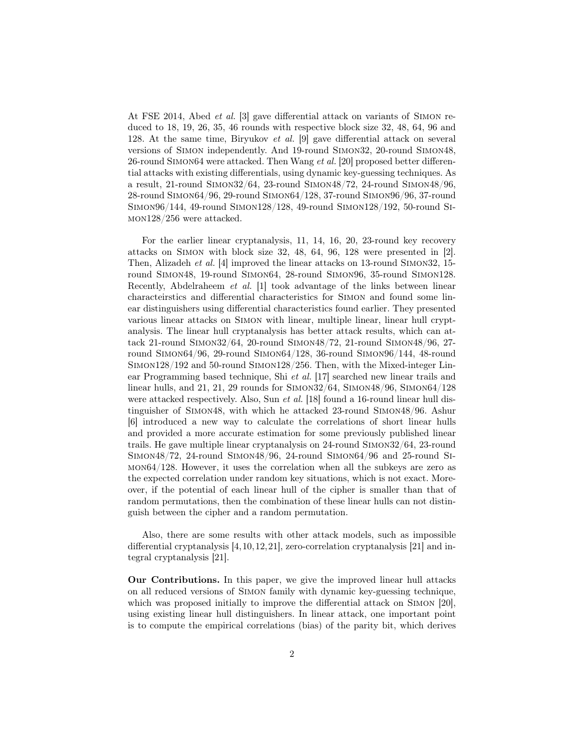At FSE 2014, Abed et al. [3] gave differential attack on variants of Simon reduced to 18, 19, 26, 35, 46 rounds with respective block size 32, 48, 64, 96 and 128. At the same time, Biryukov et al. [9] gave differential attack on several versions of Simon independently. And 19-round Simon32, 20-round Simon48, 26-round Simon64 were attacked. Then Wang et al. [20] proposed better differential attacks with existing differentials, using dynamic key-guessing techniques. As a result, 21-round Simon32/64, 23-round Simon48/72, 24-round Simon48/96, 28-round Simon64/96, 29-round Simon64/128, 37-round Simon96/96, 37-round Simon96/144, 49-round Simon128/128, 49-round Simon128/192, 50-round Simon128/256 were attacked.

For the earlier linear cryptanalysis, 11, 14, 16, 20, 23-round key recovery attacks on Simon with block size 32, 48, 64, 96, 128 were presented in [2]. Then, Alizadeh et al. [4] improved the linear attacks on 13-round Simon32, 15 round Simon48, 19-round Simon64, 28-round Simon96, 35-round Simon128. Recently, Abdelraheem et al. [1] took advantage of the links between linear characteirstics and differential characteristics for Simon and found some linear distinguishers using differential characteristics found earlier. They presented various linear attacks on Simon with linear, multiple linear, linear hull cryptanalysis. The linear hull cryptanalysis has better attack results, which can attack 21-round Simon32/64, 20-round Simon48/72, 21-round Simon48/96, 27 round Simon64/96, 29-round Simon64/128, 36-round Simon96/144, 48-round Simon128/192 and 50-round Simon128/256. Then, with the Mixed-integer Linear Programming based technique, Shi et al. [17] searched new linear trails and linear hulls, and 21, 21, 29 rounds for Simon32/64, Simon48/96, Simon64/128 were attacked respectively. Also, Sun *et al.* [18] found a 16-round linear hull distinguisher of Simon48, with which he attacked 23-round Simon48/96. Ashur [6] introduced a new way to calculate the correlations of short linear hulls and provided a more accurate estimation for some previously published linear trails. He gave multiple linear cryptanalysis on 24-round Simon32/64, 23-round Simon48/72, 24-round Simon48/96, 24-round Simon64/96 and 25-round Simon64/128. However, it uses the correlation when all the subkeys are zero as the expected correlation under random key situations, which is not exact. Moreover, if the potential of each linear hull of the cipher is smaller than that of random permutations, then the combination of these linear hulls can not distinguish between the cipher and a random permutation.

Also, there are some results with other attack models, such as impossible differential cryptanalysis [4,10,12,21], zero-correlation cryptanalysis [21] and integral cryptanalysis [21].

Our Contributions. In this paper, we give the improved linear hull attacks on all reduced versions of Simon family with dynamic key-guessing technique, which was proposed initially to improve the differential attack on SIMON [20], using existing linear hull distinguishers. In linear attack, one important point is to compute the empirical correlations (bias) of the parity bit, which derives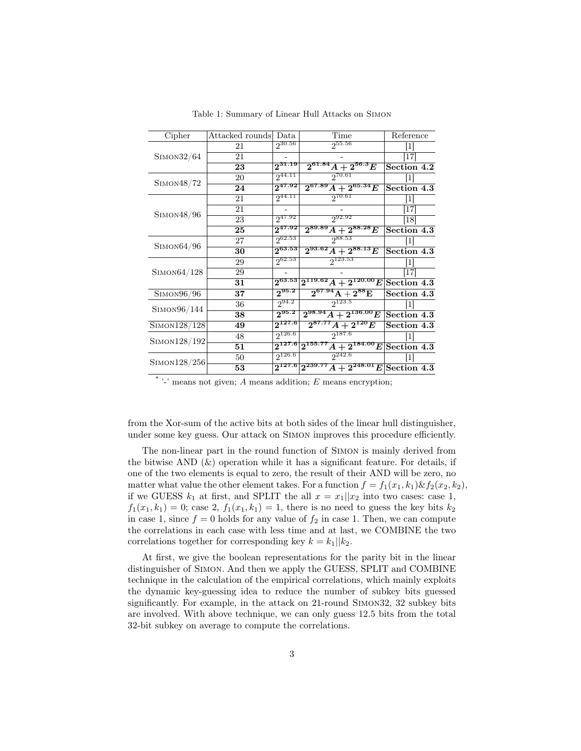| Cipher       | Attacked rounds | Data         | Time                                                          | Reference     |
|--------------|-----------------|--------------|---------------------------------------------------------------|---------------|
|              | 21              | <b>30.56</b> |                                                               | 1             |
| Simon32/64   | 21              |              |                                                               |               |
|              | 23              | $2^{31.19}$  | $2^{61.84}$<br>$A+2^{56.3}E$                                  | Section 4.2   |
|              | 20              | $2^{44.11}$  | $2^{70.61}$                                                   | $\mathbf{1}$  |
| SIMON48/72   | 24              | $2^{47.92}$  | $2^{67.89} A$<br>$+ \, 2^{65.34} E$                           | Section 4.3   |
|              | 21              | $2^{44.11}$  | $2^{70.61}$                                                   | T             |
| Simon48/96   | 21              |              |                                                               | [17]          |
|              | 23              | $2^{47.92}$  | 3 <sup>92.92</sup>                                            | <sup>18</sup> |
|              | 25              | $2^{47.92}$  | $2^{89.89}$<br>$4+2^{88.28}E$                                 | Section 4.3   |
| Simon64/96   | 27              | $2^{62.53}$  | 288.53                                                        |               |
|              | 30              | $2^{63.53}$  | $2^{93.62}$<br>$A+2^{88.13}E$                                 | Section 4.3   |
|              | 29              | $2^{62.53}$  | $2^{123.53}$                                                  | $\mathbf{1}$  |
| Simon64/128  | 29              |              |                                                               | 117           |
|              | 31              |              | $2^{63.53}$ $2^{119.62}$ A<br>$\overline{+2^{120.00}E}$       | Section 4.3   |
| Simon96/96   | 37              | $2^{95.2}$   | ${\rm 2^{67.94}A+2^{88}E}$                                    | Section 4.3   |
|              | 36              | $2^{94.2}$   | $2^{123.5}$                                                   |               |
| SIMON96/144  | 38              | $2^{95.2}$   | $2^{98.94}$ A<br>$\overline{2^{136.00}E}$                     | Section 4.3   |
| SIMON128/128 | 49              | $2^{127.6}$  | $2^{87.77} A + 2^{120} E$                                     | Section 4.3   |
| SIMON128/192 | 48              | $2^{126.6}$  | $2^{187.6}$                                                   |               |
|              | 51              |              | $2^{127.6}$ 2 <sup>155.77</sup><br>$\overline{A+2^{184.00}E}$ | Section 4.3   |
|              | 50              | $2^{126.6}$  | $2^{242.6}$                                                   |               |
| SIMON128/256 | 53              |              | $2^{127.6}$ $2^{239.7}$<br>$\overline{2^{248.01}}E$           | Section 4.3   |
|              |                 |              |                                                               |               |

Table 1: Summary of Linear Hull Attacks on Simon

\*'-' means not given; A means addition;  $E$  means encryption;

from the Xor-sum of the active bits at both sides of the linear hull distinguisher, under some key guess. Our attack on Simon improves this procedure efficiently.

The non-linear part in the round function of Simon is mainly derived from the bitwise AND  $(\&)$  operation while it has a significant feature. For details, if one of the two elements is equal to zero, the result of their AND will be zero, no matter what value the other element takes. For a function  $f = f_1(x_1, k_1) \& f_2(x_2, k_2)$ , if we GUESS  $k_1$  at first, and SPLIT the all  $x = x_1 || x_2$  into two cases: case 1,  $f_1(x_1, k_1) = 0$ ; case 2,  $f_1(x_1, k_1) = 1$ , there is no need to guess the key bits  $k_2$ in case 1, since  $f = 0$  holds for any value of  $f_2$  in case 1. Then, we can compute the correlations in each case with less time and at last, we COMBINE the two correlations together for corresponding key  $k = k_1||k_2$ .

At first, we give the boolean representations for the parity bit in the linear distinguisher of Simon. And then we apply the GUESS, SPLIT and COMBINE technique in the calculation of the empirical correlations, which mainly exploits the dynamic key-guessing idea to reduce the number of subkey bits guessed significantly. For example, in the attack on 21-round Simon32, 32 subkey bits are involved. With above technique, we can only guess 12.5 bits from the total 32-bit subkey on average to compute the correlations.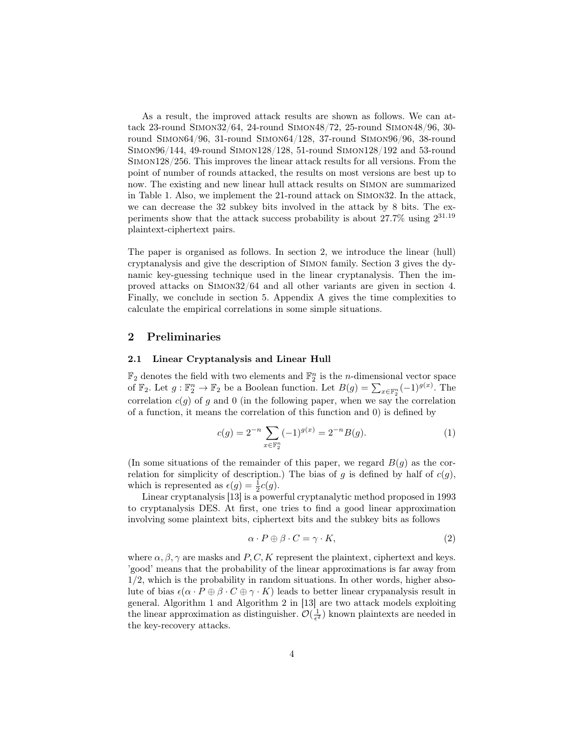As a result, the improved attack results are shown as follows. We can attack 23-round Simon32/64, 24-round Simon48/72, 25-round Simon48/96, 30 round Simon64/96, 31-round Simon64/128, 37-round Simon96/96, 38-round Simon96/144, 49-round Simon128/128, 51-round Simon128/192 and 53-round Simon128/256. This improves the linear attack results for all versions. From the point of number of rounds attacked, the results on most versions are best up to now. The existing and new linear hull attack results on Simon are summarized in Table 1. Also, we implement the 21-round attack on Simon32. In the attack, we can decrease the 32 subkey bits involved in the attack by 8 bits. The experiments show that the attack success probability is about 27.7% using 2 31.19 plaintext-ciphertext pairs.

The paper is organised as follows. In section 2, we introduce the linear (hull) cryptanalysis and give the description of Simon family. Section 3 gives the dynamic key-guessing technique used in the linear cryptanalysis. Then the improved attacks on Simon32/64 and all other variants are given in section 4. Finally, we conclude in section 5. Appendix A gives the time complexities to calculate the empirical correlations in some simple situations.

### 2 Preliminaries

### 2.1 Linear Cryptanalysis and Linear Hull

 $\mathbb{F}_2$  denotes the field with two elements and  $\mathbb{F}_2^n$  is the *n*-dimensional vector space of  $\mathbb{F}_2$ . Let  $g: \mathbb{F}_2^n \to \mathbb{F}_2$  be a Boolean function. Let  $B(g) = \sum_{x \in \mathbb{F}_2^n} (-1)^{g(x)}$ . The correlation  $c(g)$  of g and 0 (in the following paper, when we say the correlation of a function, it means the correlation of this function and 0) is defined by

$$
c(g) = 2^{-n} \sum_{x \in \mathbb{F}_2^n} (-1)^{g(x)} = 2^{-n} B(g). \tag{1}
$$

(In some situations of the remainder of this paper, we regard  $B(q)$  as the correlation for simplicity of description.) The bias of g is defined by half of  $c(g)$ , which is represented as  $\epsilon(g) = \frac{1}{2}c(g)$ .

Linear cryptanalysis [13] is a powerful cryptanalytic method proposed in 1993 to cryptanalysis DES. At first, one tries to find a good linear approximation involving some plaintext bits, ciphertext bits and the subkey bits as follows

$$
\alpha \cdot P \oplus \beta \cdot C = \gamma \cdot K,\tag{2}
$$

where  $\alpha, \beta, \gamma$  are masks and P, C, K represent the plaintext, ciphertext and keys. 'good' means that the probability of the linear approximations is far away from 1/2, which is the probability in random situations. In other words, higher absolute of bias  $\epsilon(\alpha \cdot P \oplus \beta \cdot C \oplus \gamma \cdot K)$  leads to better linear crypanalysis result in general. Algorithm 1 and Algorithm 2 in [13] are two attack models exploiting the linear approximation as distinguisher.  $\mathcal{O}(\frac{1}{\epsilon^2})$  known plaintexts are needed in the key-recovery attacks.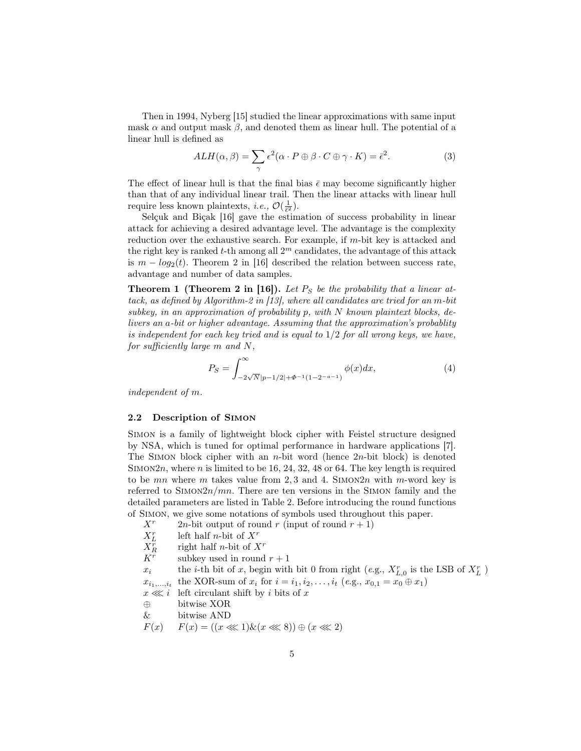Then in 1994, Nyberg [15] studied the linear approximations with same input mask  $\alpha$  and output mask  $\beta$ , and denoted them as linear hull. The potential of a linear hull is defined as

$$
ALH(\alpha, \beta) = \sum_{\gamma} \epsilon^2 (\alpha \cdot P \oplus \beta \cdot C \oplus \gamma \cdot K) = \bar{\epsilon}^2.
$$
 (3)

The effect of linear hull is that the final bias  $\bar{\epsilon}$  may become significantly higher than that of any individual linear trail. Then the linear attacks with linear hull require less known plaintexts, *i.e.*,  $\mathcal{O}(\frac{1}{\tilde{\epsilon}^2})$ .

Selçuk and Biçak [16] gave the estimation of success probability in linear attack for achieving a desired advantage level. The advantage is the complexity reduction over the exhaustive search. For example, if m-bit key is attacked and the right key is ranked  $t$ -th among all  $2<sup>m</sup>$  candidates, the advantage of this attack is  $m - log_2(t)$ . Theorem 2 in [16] described the relation between success rate, advantage and number of data samples.

**Theorem 1 (Theorem 2 in [16]).** Let  $P<sub>S</sub>$  be the probability that a linear attack, as defined by Algorithm-2 in [13], where all candidates are tried for an m-bit subkey, in an approximation of probability  $p$ , with  $N$  known plaintext blocks, delivers an a-bit or higher advantage. Assuming that the approximation's probablity is independent for each key tried and is equal to  $1/2$  for all wrong keys, we have, for sufficiently large m and N,

$$
P_S = \int_{-2\sqrt{N}|p-1/2|+\Phi^{-1}(1-2^{-a-1})}^{\infty} \phi(x)dx,\tag{4}
$$

independent of m.

#### 2.2 Description of Simon

Simon is a family of lightweight block cipher with Feistel structure designed by NSA, which is tuned for optimal performance in hardware applications [7]. The SIMON block cipher with an *n*-bit word (hence  $2n$ -bit block) is denoted SIMON $2n$ , where n is limited to be 16, 24, 32, 48 or 64. The key length is required to be  $mn$  where  $m$  takes value from 2,3 and 4. SIMON2n with m-word key is referred to  $\text{SIMON2n}/mn$ . There are ten versions in the SIMON family and the detailed parameters are listed in Table 2. Before introducing the round functions of Simon, we give some notations of symbols used throughout this paper.

 $X^r$  2n-bit output of round r (input of round  $r + 1$ )  $X_L^r$ left half *n*-bit of  $X^r$  $X_R^r$ right half *n*-bit of  $X<sup>r</sup>$  $K^r$ subkey used in round  $r + 1$  $x_i$  the *i*-th bit of x, begin with bit 0 from right (e.g.,  $X_{L,0}^r$  is the LSB of  $X_L^r$ )  $x_{i_1,\ldots,i_t}$ the XOR-sum of  $x_i$  for  $i = i_1, i_2, \ldots, i_t$  (e.g.,  $x_{0,1} = x_0 \oplus x_1$ )  $x \ll i$  left circulant shift by i bits of x ⊕ bitwise XOR & bitwise AND  $F(x)$   $F(x) = ((x \ll 1) \& (x \ll 8)) \oplus (x \ll 2)$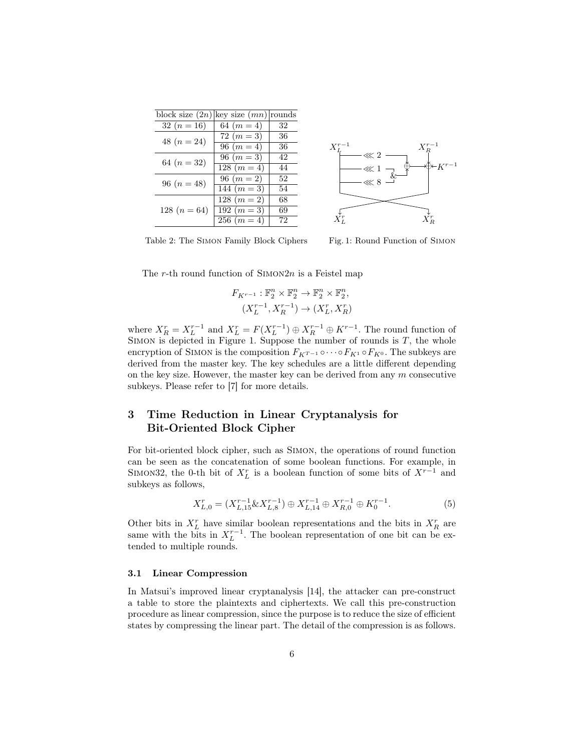| block size $(2n)$ key size $(mn)$ rounds |               |    |
|------------------------------------------|---------------|----|
| 32 $(n = 16)$                            | 64 $(m = 4)$  | 32 |
| 48 $(n=24)$                              | $72 \; (m=3)$ | 36 |
|                                          | 96 $(m=4)$    | 36 |
| 64 $(n = 32)$                            | 96 $(m=3)$    | 42 |
|                                          | $128 (m = 4)$ | 44 |
| 96 $(n = 48)$                            | 96 $(m=2)$    | 52 |
|                                          | 144 $(m=3)$   | 54 |
|                                          | $128 (m = 2)$ | 68 |
| 128 $(n = 64)$                           | 192 $(m=3)$   | 69 |
|                                          | $256 (m = 4)$ | 72 |



Table 2: The Simon Family Block Ciphers

Fig. 1: Round Function of Simon

The r-th round function of  $\text{SIMON2n}$  is a Feistel map

$$
F_{K^{r-1}}: \mathbb{F}_2^n \times \mathbb{F}_2^n \to \mathbb{F}_2^n \times \mathbb{F}_2^n,
$$
  

$$
(X_L^{r-1}, X_R^{r-1}) \to (X_L^r, X_R^r)
$$

where  $X_R^r = X_L^{r-1}$  and  $X_L^r = F(X_L^{r-1}) \oplus X_R^{r-1} \oplus K^{r-1}$ . The round function of SIMON is depicted in Figure 1. Suppose the number of rounds is  $T$ , the whole encryption of SIMON is the composition  $F_{K^{T-1}} \circ \cdots \circ F_{K^1} \circ F_{K^0}$ . The subkeys are derived from the master key. The key schedules are a little different depending on the key size. However, the master key can be derived from any  $m$  consecutive subkeys. Please refer to [7] for more details.

# 3 Time Reduction in Linear Cryptanalysis for Bit-Oriented Block Cipher

For bit-oriented block cipher, such as Simon, the operations of round function can be seen as the concatenation of some boolean functions. For example, in SIMON32, the 0-th bit of  $X_L^r$  is a boolean function of some bits of  $X^{r-1}$  and subkeys as follows,

$$
X_{L,0}^r = (X_{L,15}^{r-1} \& X_{L,8}^{r-1}) \oplus X_{L,14}^{r-1} \oplus X_{R,0}^{r-1} \oplus K_0^{r-1}.
$$
 (5)

Other bits in  $X_L^r$  have similar boolean representations and the bits in  $X_R^r$  are same with the bits in  $X_L^{r-1}$ . The boolean representation of one bit can be extended to multiple rounds.

### 3.1 Linear Compression

In Matsui's improved linear cryptanalysis [14], the attacker can pre-construct a table to store the plaintexts and ciphertexts. We call this pre-construction procedure as linear compression, since the purpose is to reduce the size of efficient states by compressing the linear part. The detail of the compression is as follows.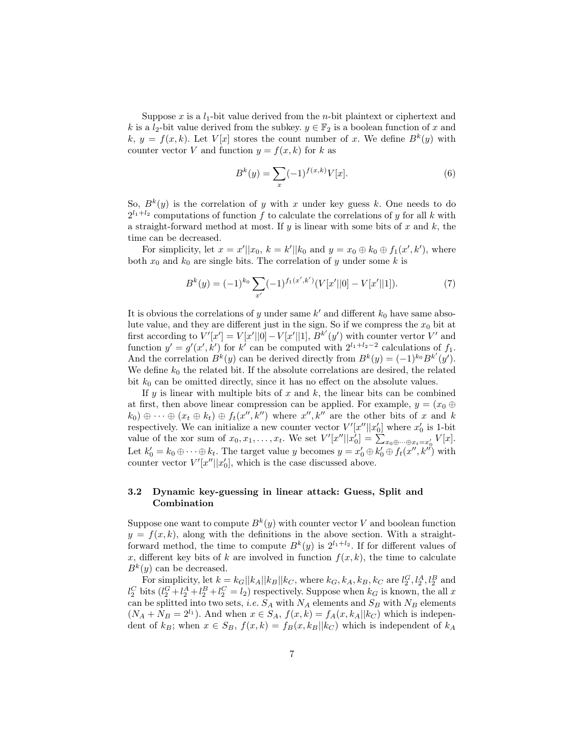Suppose x is a  $l_1$ -bit value derived from the n-bit plaintext or ciphertext and k is a  $l_2$ -bit value derived from the subkey.  $y \in \mathbb{F}_2$  is a boolean function of x and  $k, y = f(x, k)$ . Let  $V[x]$  stores the count number of x. We define  $B^k(y)$  with counter vector V and function  $y = f(x, k)$  for k as

$$
B^{k}(y) = \sum_{x} (-1)^{f(x,k)} V[x].
$$
 (6)

So,  $B^k(y)$  is the correlation of y with x under key guess k. One needs to do  $2^{l_1+l_2}$  computations of function f to calculate the correlations of y for all k with a straight-forward method at most. If  $y$  is linear with some bits of  $x$  and  $k$ , the time can be decreased.

For simplicity, let  $x = x' || x_0, k = k' || k_0$  and  $y = x_0 \oplus k_0 \oplus f_1(x', k')$ , where both  $x_0$  and  $k_0$  are single bits. The correlation of y under some k is

$$
B^{k}(y) = (-1)^{k_0} \sum_{x'} (-1)^{f_1(x',k')} (V[x'||0] - V[x'||1]). \tag{7}
$$

It is obvious the correlations of y under same  $k'$  and different  $k_0$  have same absolute value, and they are different just in the sign. So if we compress the  $x_0$  bit at first according to  $V'[x'] = V[x'||0] - V[x'||1]$ ,  $B^{k'}(y')$  with counter vertor V' and function  $y' = g'(x', k')$  for k' can be computed with  $2^{l_1+l_2-2}$  calculations of  $f_1$ . And the correlation  $B^k(y)$  can be derived directly from  $B^k(y) = (-1)^{k_0} B^{k'}(y')$ . We define  $k_0$  the related bit. If the absolute correlations are desired, the related bit  $k_0$  can be omitted directly, since it has no effect on the absolute values.

If y is linear with multiple bits of x and k, the linear bits can be combined at first, then above linear compression can be applied. For example,  $y = (x_0 \oplus$  $(k_0) \oplus \cdots \oplus (x_t \oplus k_t) \oplus f_t(x'', k'')$  where  $x'', k''$  are the other bits of x and k respectively. We can initialize a new counter vector  $V'[x'']|x'_0]$  where  $x'_0$  is 1-bit value of the xor sum of  $x_0, x_1, \ldots, x_t$ . We set  $V'[x'']|x'_0] = \sum_{x_0 \oplus \cdots \oplus x_t = x'_0} V[x]$ . Let  $k'_0 = k_0 \oplus \cdots \oplus k_t$ . The target value y becomes  $y = x'_0 \oplus k'_0 \oplus f_t(x'', k'')$  with counter vector  $V'[x' || x'_0]$ , which is the case discussed above.

## 3.2 Dynamic key-guessing in linear attack: Guess, Split and Combination

Suppose one want to compute  $B^k(y)$  with counter vector V and boolean function  $y = f(x, k)$ , along with the definitions in the above section. With a straightforward method, the time to compute  $B^k(y)$  is  $2^{l_1+l_2}$ . If for different values of x, different key bits of k are involved in function  $f(x, k)$ , the time to calculate  $B^k(y)$  can be decreased.

For simplicity, let  $k = k_G||k_A||k_B||k_C$ , where  $k_G, k_A, k_B, k_C$  are  $l_2^G, l_2^A, l_2^B$  and  $l_2^C$  bits  $(l_2^G + l_2^A + l_2^B + l_2^C = l_2)$  respectively. Suppose when  $k_G$  is known, the all x can be splitted into two sets, *i.e.*  $S_A$  with  $N_A$  elements and  $S_B$  with  $N_B$  elements  $(N_A + N_B = 2^{l_1})$ . And when  $x \in S_A$ ,  $f(x, k) = f_A(x, k_A || k_C)$  which is independent of  $k_B$ ; when  $x \in S_B$ ,  $f(x, k) = f_B(x, k_B||k_C)$  which is independent of  $k_A$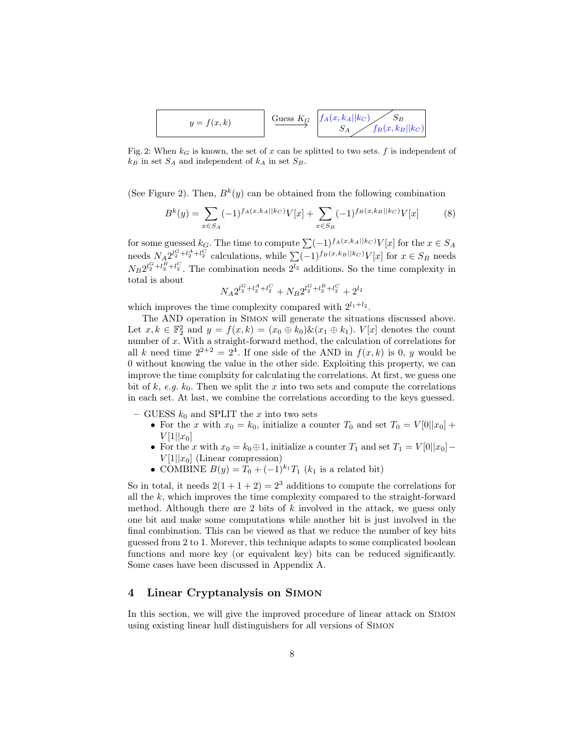$$
y = f(x, k)
$$
 
$$
\xrightarrow{\text{Guess } K_G} \begin{array}{c} f_A(x, k_A || k_C) & S_B \\ S_A & f_B(x, k_B || k_C) \end{array}
$$

Fig. 2: When  $k_G$  is known, the set of x can be splitted to two sets. f is independent of  $k_B$  in set  $S_A$  and independent of  $k_A$  in set  $S_B$ .

(See Figure 2). Then,  $B^k(y)$  can be obtained from the following combination

$$
B^{k}(y) = \sum_{x \in S_A} (-1)^{f_A(x,k_A||k_C)} V[x] + \sum_{x \in S_B} (-1)^{f_B(x,k_B||k_C)} V[x] \tag{8}
$$

for some guessed  $k_G$ . The time to compute  $\sum (-1)^{f_A(x,k_A||k_C)} V[x]$  for the  $x \in S_A$ needs  $N_A 2^{l_2^G + l_2^A + l_2^C}$  calculations, while  $\sum (-1)^{f_B(x, k_B||k_C)} V[x]$  for  $x \in S_B$  needs  $N_B 2^{l_2^C + l_2^B + l_2^C}$ . The combination needs  $2^{l_2}$  additions. So the time complexity in total is about

$$
N_A 2^{l_2^G + l_2^A + l_2^C} + N_B 2^{l_2^G + l_2^B + l_2^C} + 2^{l_2}
$$

which improves the time complexity compared with  $2^{l_1+l_2}$ .

The AND operation in Simon will generate the situations discussed above. Let  $x, k \in \mathbb{F}_2^2$  and  $y = f(x, k) = (x_0 \oplus k_0) \& (x_1 \oplus k_1)$ .  $V[x]$  denotes the count number of x. With a straight-forward method, the calculation of correlations for all k need time  $2^{2+2} = 2^4$ . If one side of the AND in  $f(x, k)$  is 0, y would be 0 without knowing the value in the other side. Exploiting this property, we can improve the time complxity for calculating the correlations. At first, we guess one bit of k, e.g.  $k_0$ . Then we split the x into two sets and compute the correlations in each set. At last, we combine the correlations according to the keys guessed.

- GUESS  $k_0$  and SPLIT the x into two sets
	- For the x with  $x_0 = k_0$ , initialize a counter  $T_0$  and set  $T_0 = V[0||x_0] +$  $V[1||x_0]$
	- For the x with  $x_0 = k_0 \oplus 1$ , initialize a counter  $T_1$  and set  $T_1 = V[0||x_0]$  $V[1||x_0]$  (Linear compression)
	- COMBINE  $B(y) = T_0 + (-1)^{k_1} T_1$  ( $k_1$  is a related bit)

So in total, it needs  $2(1+1+2) = 2^3$  additions to compute the correlations for all the  $k$ , which improves the time complexity compared to the straight-forward method. Although there are 2 bits of  $k$  involved in the attack, we guess only one bit and make some computations while another bit is just involved in the final combination. This can be viewed as that we reduce the number of key bits guessed from 2 to 1. Morever, this technique adapts to some complicated boolean functions and more key (or equivalent key) bits can be reduced significantly. Some cases have been discussed in Appendix A.

# 4 Linear Cryptanalysis on Simon

In this section, we will give the improved procedure of linear attack on Simon using existing linear hull distinguishers for all versions of Simon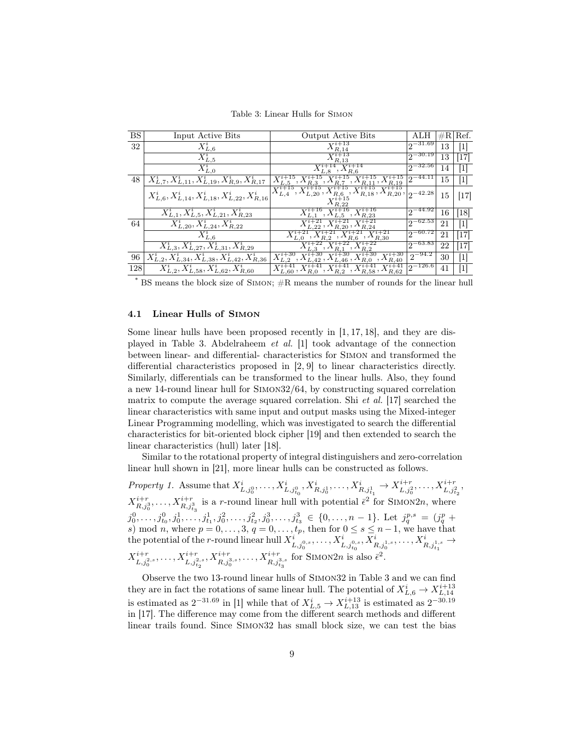Table 3: Linear Hulls for Simon

| <b>BS</b> | Input Active Bits                                           | Output Active Bits                                                                                                                                                                    | ALH                          |    | $\#R$  Ref. |
|-----------|-------------------------------------------------------------|---------------------------------------------------------------------------------------------------------------------------------------------------------------------------------------|------------------------------|----|-------------|
| 32        | $X_{L,6}^i$                                                 | R.14                                                                                                                                                                                  | $12^{-31.69}$                | 13 | 1           |
|           | $X_{L,5}^i$                                                 | R.13                                                                                                                                                                                  | $2^{-30.19}$                 | 13 | [17]        |
|           | $X_{L,0}^i$                                                 |                                                                                                                                                                                       | $12^{-32.56}$                | 14 | 1           |
| 48        | $X_{L,7}^i, X_{L,11}^i, X_{L,19}^i, X_{R,9}^i, X_{R,17}^i$  | $^5, X_{R,7}^{i+15}, X_{R,11}^{i+15}, X_{R,19}^{i+15}$                                                                                                                                | $12^{-44.11}$                | 15 | 1           |
|           | $X_{L,6}^i, X_{L,14}^i, X_{L,18}^i, X_{L,22}^i, X_{R,16}^i$ | $\overline{X^{i+15}_{L,4},X^{i+15}_{L,20},X^{i+15}_{R,6}},X^{i+15}_{R,18},X^{i+15}_{R,20},\left \vphantom{X^{i+15}_{L,4}}\right.\\ \left.\vphantom{X^{i+15}_{L,4}}\right)}2^{-42.28}$ |                              | 15 | $[17]$      |
|           | $X_{L,1}^i, X_{L,5}^i, X_{L,21}^i, X_{R,23}^i$              | $^{5}, X_{L,5}^{i+16}, X_{R,23}^{i+16}$                                                                                                                                               | $\sqrt{2}$ <sup>-44.92</sup> | 16 | [18]        |
| 64        | $X_{L,20}^i, X_{L,24}^i, X_{R,22}^i$                        |                                                                                                                                                                                       | $12^{-62.53}$                | 21 | $[1]$       |
|           | $\bar X^i_{L,6}$                                            | $X^{i+21}_{R,6}$ , $X^{i+21}_{R,30}$<br>R 2.                                                                                                                                          | $12^{-60.72}$                | 21 | $[17]$      |
|           | $X_{L,3}^i, X_{L,27}^i, X_{L,31}^i, X_{R,29}^i$             |                                                                                                                                                                                       | $2^{-63.83}$                 | 22 | $[17]$      |
| 96        | $X_{L,2}^i, X_{L,34}^i, X_{L,38}^i, X_{L,42}^i, X_{R,36}^i$ | $, X^{i+30}_{R,40}$<br>, $\frac{\overline{X}_{L,46}^{i+\textnormal{ou}},\, \lambda_{R,0}}{\frac{1}{41}\frac{1}{\mathbf{V}i+1}}$                                                       | $2^{-94.2}$                  | 30 | $[1]$       |
| 128       | $X_{L,2}^i, X_{L,58}^i, X_{L,62}^i, X_{R,60}^i$             | $X_{L,60}^{i+41}, X_{R,0}^{i+41}, X_{R,2}^{i+41}, X_{R,58}^{i+41}, X_{R,62}^{i+41}$                                                                                                   | $2^{-126.6}$                 | 41 | 1           |

\* BS means the block size of Simon; #R means the number of rounds for the linear hull

#### 4.1 Linear Hulls of Simon

Some linear hulls have been proposed recently in [1, 17, 18], and they are displayed in Table 3. Abdelraheem et al. [1] took advantage of the connection between linear- and differential- characteristics for Simon and transformed the differential characteristics proposed in [2, 9] to linear characteristics directly. Similarly, differentials can be transformed to the linear hulls. Also, they found a new 14-round linear hull for Simon32/64, by constructing squared correlation matrix to compute the average squared correlation. Shi *et al.* [17] searched the linear characteristics with same input and output masks using the Mixed-integer Linear Programming modelling, which was investigated to search the differential characteristics for bit-oriented block cipher [19] and then extended to search the linear characteristics (hull) later [18].

Similar to the rotational property of integral distinguishers and zero-correlation linear hull shown in [21], more linear hulls can be constructed as follows.

,

Property 1. Assume that  $X_{L,j_0^0}^i, \ldots, X_{L,j_{t_0}^0}^i, X_{R,j_0^1}^i, \ldots, X_{R,j_{t_1}^1}^i \rightarrow X_{L,j_0^0}^{i+r}, \ldots, X_{L,j_{t_2}^2}^{i+r}$ <br>  $X_{R,j_0^3}^{i+r}$ , ...,  $X_{R,j_{t_3}^3}^{i+r}$  is a r-round linear hull with potential  $\bar{\epsilon}^2$  for SI  $j_0^0, \ldots, j_{t_0}^0, j_0^1, \ldots, j_{t_1}^1, j_0^2, \ldots, j_{t_2}^2, j_0^3, \ldots, j_{t_3}^3 \in \{0, \ldots, n-1\}$ . Let  $j_q^{p,s} = (j_q^p +$ s) mod n, where  $p = 0, \ldots, 3, q = 0, \ldots, t_p$ , then for  $0 \le s \le n-1$ , we have that  $\text{the potential of the $r$-round linear hull } X^i_{L,j_0^{0,s}},\ldots,X^i_{L,j_{t_0}^{0,s}},X^i_{R,j_0^{1,s}},\ldots,X^i_{R,j_{t_1}^{1,s}} \to 0$  $X^{i+r}_{L,j_0^{2,s}},\ldots,X^{i+r}_{L,j_{t_2}^{2,s}},X^{i+r}_{R,j_0^{3,s}},\ldots,X^{i+r}_{R,j_{t_3}^{3,s}}$  for SIMON2n is also  $\bar{\epsilon}^2$ .

Observe the two 13-round linear hulls of Simon32 in Table 3 and we can find they are in fact the rotations of same linear hull. The potential of  $X_{L,6}^i \rightarrow X_{L,14}^{i+13}$ is estimated as  $2^{-31.69}$  in [1] while that of  $X_{L,5}^{i} \rightarrow X_{L,13}^{i+13}$  is estimated as  $2^{-30.19}$ in [17]. The difference may come from the different search methods and different linear trails found. Since Simon32 has small block size, we can test the bias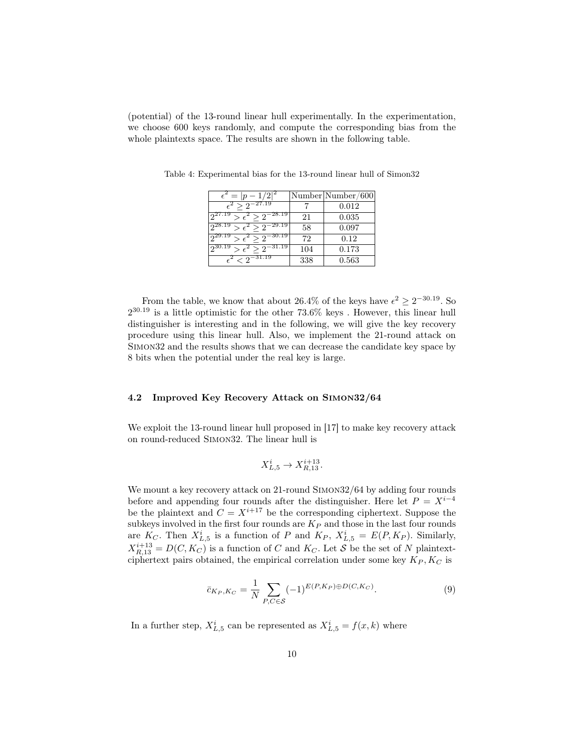(potential) of the 13-round linear hull experimentally. In the experimentation, we choose 600 keys randomly, and compute the corresponding bias from the whole plaintexts space. The results are shown in the following table.

| $\epsilon^2 =  p-1/2 ^2$                     |     | Number Number/600 |
|----------------------------------------------|-----|-------------------|
| $\epsilon^2 > 2^{-27.19}$                    |     | 0.012             |
| $2^{27.19} > \epsilon^2 > 2^{-28.19}$        | 21  | 0.035             |
| $\geq \epsilon^2 > 2^{-29.19}$<br>ი28.19     | 58  | 0.097             |
| $>\epsilon^2>\overline{2^{-30.19}}$<br>29.19 | 72  | 0.12              |
| $\geq \epsilon^2 \geq 2^{-31.19}$<br>ე30.19  | 104 | 0.173             |
| $\epsilon^2$ < 9 <sup>-31.19</sup>           | 338 | 0.563             |

Table 4: Experimental bias for the 13-round linear hull of Simon32

From the table, we know that about 26.4% of the keys have  $\epsilon^2 \geq 2^{-30.19}$ . So  $2^{30.19}$  is a little optimistic for the other 73.6% keys. However, this linear hull distinguisher is interesting and in the following, we will give the key recovery procedure using this linear hull. Also, we implement the 21-round attack on Simon32 and the results shows that we can decrease the candidate key space by 8 bits when the potential under the real key is large.

### 4.2 Improved Key Recovery Attack on Simon32/64

We exploit the 13-round linear hull proposed in [17] to make key recovery attack on round-reduced Simon32. The linear hull is

$$
X_{L,5}^i \rightarrow X_{R,13}^{i+13}.
$$

We mount a key recovery attack on 21-round SIMON32/64 by adding four rounds before and appending four rounds after the distinguisher. Here let  $P = X^{i-4}$ be the plaintext and  $C = X^{i+17}$  be the corresponding ciphertext. Suppose the subkeys involved in the first four rounds are  $K_P$  and those in the last four rounds are  $K_C$ . Then  $X_{L,5}^i$  is a function of P and  $K_P$ ,  $X_{L,5}^i = E(P, K_P)$ . Similarly,  $X_{R,13}^{i+13} = D(C, K_C)$  is a function of C and  $K_C$ . Let S be the set of N plaintextciphertext pairs obtained, the empirical correlation under some key  $K_P, K_C$  is

$$
\bar{c}_{K_P,K_C} = \frac{1}{N} \sum_{P,C \in \mathcal{S}} (-1)^{E(P,K_P) \oplus D(C,K_C)}.
$$
\n(9)

In a further step,  $X_{L,5}^i$  can be represented as  $X_{L,5}^i = f(x, k)$  where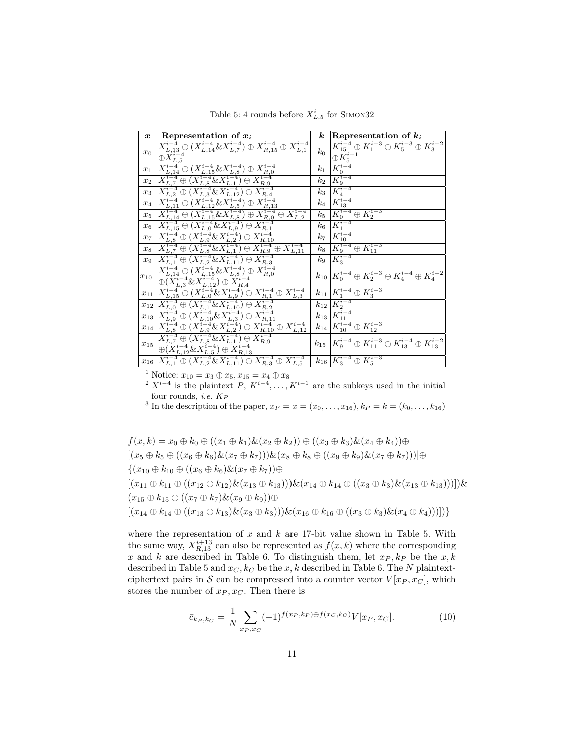| $\boldsymbol{x}$ | Representation of $x_i$                                                                                                                                                                                                                                                                                                                                                                                                       | $\boldsymbol{k}$   | Representation of $k_i$                                                                 |
|------------------|-------------------------------------------------------------------------------------------------------------------------------------------------------------------------------------------------------------------------------------------------------------------------------------------------------------------------------------------------------------------------------------------------------------------------------|--------------------|-----------------------------------------------------------------------------------------|
| $x_0$            | $X_{L,13}^{i-4} \oplus (X_{L,14}^{i-4} \& X_{L,7}^{i-4}) \oplus X_{R,15}^{i-4} \oplus X_{L,1}^{i-4}$                                                                                                                                                                                                                                                                                                                          | $k_0$              | $K_{15}^{i-4} \oplus K_1^{i-3} \oplus K_5^{i-3} \oplus K_3^{i-2}$<br>$\oplus K_5^{i-1}$ |
| $x_1$            |                                                                                                                                                                                                                                                                                                                                                                                                                               | $k_{1}$            | $\overline{K_0^{i-4}}$                                                                  |
| $x_2$            |                                                                                                                                                                                                                                                                                                                                                                                                                               | $\scriptstyle k_2$ | $\check{K_9^{i-4}}$                                                                     |
| $x_3$            |                                                                                                                                                                                                                                                                                                                                                                                                                               | $k_{3}$            | $\overline{K_4^{i-4}}$                                                                  |
| $x_4$            |                                                                                                                                                                                                                                                                                                                                                                                                                               | $\mathscr{k}_4$    | $K_{13}^{i-4}$                                                                          |
| $x_5$            |                                                                                                                                                                                                                                                                                                                                                                                                                               | $k_{5}$            | $K_0^{i-4} \oplus K_2^{i-3}$                                                            |
| $x_6$            |                                                                                                                                                                                                                                                                                                                                                                                                                               | $k_{6}$            | $\overline{K_1^{i-4}}$                                                                  |
| $x_7$            |                                                                                                                                                                                                                                                                                                                                                                                                                               | k <sub>7</sub>     | $\overline{K^{i-4}_{10}}$                                                               |
| $x_8$            |                                                                                                                                                                                                                                                                                                                                                                                                                               | $k_{8}$            | $\overline{K_9^{i-4} \oplus K_{11}^{i-3}}$                                              |
| $x_9$            |                                                                                                                                                                                                                                                                                                                                                                                                                               | $k_{9}$            | $\overline{K_3^{i-4}}$                                                                  |
| $x_{10}$         |                                                                                                                                                                                                                                                                                                                                                                                                                               | $k_{10}$           | $K_0^{i-4} \oplus K_2^{i-3} \oplus K_4^{i-4} \oplus K_4^{i-2}$                          |
| $x_{11}$         |                                                                                                                                                                                                                                                                                                                                                                                                                               | $k_{11}$           | $K_1^{i-4} \oplus K_3^{i-3}$                                                            |
| $x_{12}$         |                                                                                                                                                                                                                                                                                                                                                                                                                               | $k_{12}$           | $K_2^{i-4}$                                                                             |
| $x_{13}$         |                                                                                                                                                                                                                                                                                                                                                                                                                               | $k_{13}$           | $K_{11}^{i-4}$                                                                          |
| $x_{14}$         |                                                                                                                                                                                                                                                                                                                                                                                                                               | $k_{14}$           | $K_{10}^{i-4} \oplus K_{12}^{i-3}$                                                      |
| $x_{15}$         | $\begin{array}{l} \overline{X^{i-4}_{L,14}} \oplus \, (\overline{X^{i-4}_{L,14}} \& \overline{X^{i-4}_{L,1}} \oplus \overline{X^{i-4}_{R,15}} \oplus \overline{X^{i-4}_{L,1}} \\ \oplus \overline{X^{i-4}_{L,5}} \\ \overline{X^{i-4}_{L,14}} \oplus \, (\overline{X^{i-4}_{L,15}} \& \overline{X^{i-4}_{L,1}} \oplus \overline{X^{i-4}_{R,0}} \\ \overline{X^{i-4}_{L,14}} \oplus \, (\overline{X^{i-4}_{L,3}} \& \overline$ | $k_{15}$           | $K_9^{i-4} \oplus K_{11}^{i-3} \oplus K_{13}^{i-4} \oplus K_{13}^{i-2}$                 |
| $x_{16}$         | $X_{L,1}^{i-4} \oplus (X_{L,2}^{i-4} \& X_{L,11}^{i-4}) \oplus X_{R,3}^{i-4} \oplus X_{L,5}^{i-4}$                                                                                                                                                                                                                                                                                                                            |                    | $k_{16} K_3^{i-4} \oplus K_5^{i-3}$                                                     |

Table 5: 4 rounds before  $X_{L,5}^i$  for SIMON32

<sup>1</sup> Notice:  $x_{10} = x_3 \oplus x_5, x_{15} = x_4 \oplus x_8$ 

<sup>2</sup>  $X^{i-4}$  is the plaintext P,  $K^{i-4}, \ldots, K^{i-1}$  are the subkeys used in the initial four rounds, *i.e.*  $K_P$ 

<sup>3</sup> In the description of the paper,  $x_P = x = (x_0, \ldots, x_{16}), k_P = k = (k_0, \ldots, k_{16})$ 

 $f(x, k) = x_0 \oplus k_0 \oplus ((x_1 \oplus k_1) \& (x_2 \oplus k_2)) \oplus ((x_3 \oplus k_3) \& (x_4 \oplus k_4)) \oplus$  $[(x_5 \oplus k_5 \oplus ((x_6 \oplus k_6) \& (x_7 \oplus k_7))) \& (x_8 \oplus k_8 \oplus ((x_9 \oplus k_9) \& (x_7 \oplus k_7)))] \oplus$  ${(x_{10} \oplus k_{10} \oplus ((x_6 \oplus k_6) \& (x_7 \oplus k_7)) \oplus)}$  $[(x_{11} \oplus k_{11} \oplus ((x_{12} \oplus k_{12}) \& (x_{13} \oplus k_{13}))) \& (x_{14} \oplus k_{14} \oplus ((x_{3} \oplus k_{3}) \& (x_{13} \oplus k_{13}))))]$  $(x_{15} \oplus k_{15} \oplus ((x_7 \oplus k_7) \& (x_9 \oplus k_9)) \oplus$  $[(x_{14} \oplus k_{14} \oplus ((x_{13} \oplus k_{13}) \& (x_3 \oplus k_3))) \& (x_{16} \oplus k_{16} \oplus ((x_3 \oplus k_3) \& (x_4 \oplus k_4)))])$ 

where the representation of  $x$  and  $k$  are 17-bit value shown in Table 5. With the same way,  $X_{R,13}^{i+13}$  can also be represented as  $f(x, k)$  where the corresponding x and k are described in Table 6. To distinguish them, let  $x_P, k_P$  be the  $x, k$ described in Table 5 and  $x_C, k_C$  be the x, k described in Table 6. The N plaintextciphertext pairs in S can be compressed into a counter vector  $V[x_P, x_C]$ , which stores the number of  $x_P, x_C$ . Then there is

$$
\bar{c}_{k_P,k_C} = \frac{1}{N} \sum_{x_P,x_C} (-1)^{f(x_P,k_P) \oplus f(x_C,k_C)} V[x_P,x_C]. \tag{10}
$$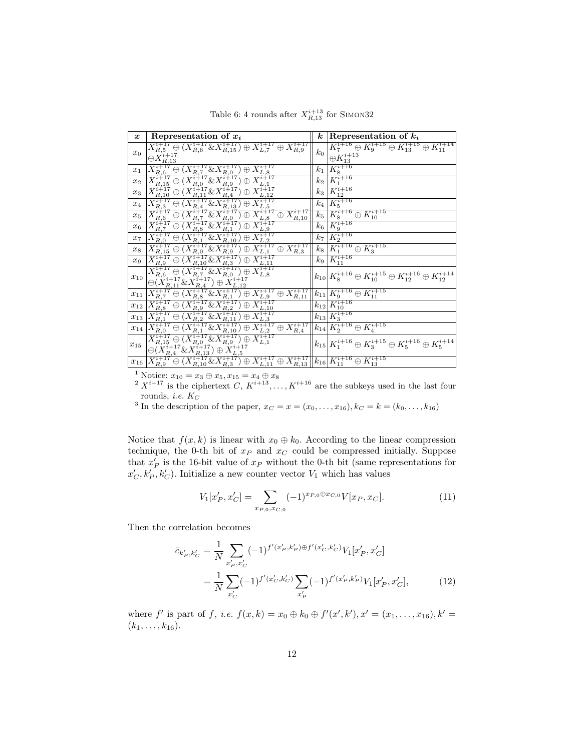| $\boldsymbol{x}$ | Representation of $x_i$                                                                                                                                                                                                                                                                                                                                        | $\boldsymbol{k}$ | Representation of $k_i$                                                        |
|------------------|----------------------------------------------------------------------------------------------------------------------------------------------------------------------------------------------------------------------------------------------------------------------------------------------------------------------------------------------------------------|------------------|--------------------------------------------------------------------------------|
|                  | $X^{i+17}_{R,5} \oplus (X^{i+17}_{R,6} \& X^{i+17}_{R,15}) \oplus X^{i+17}_{L,7} \oplus X^{i+17}_{R,9}$                                                                                                                                                                                                                                                        |                  | $K_7^{i+16} \oplus K_9^{i+15} \oplus K_{13}^{i+15} \oplus K_{11}^{i+14}$       |
| $x_0$            | $\oplus X^{i+17}_{R,13}$                                                                                                                                                                                                                                                                                                                                       | $k_0$            | $\oplus K_{13}^{i+13}$                                                         |
| $x_1$            |                                                                                                                                                                                                                                                                                                                                                                | $k_{1}$          | $K_8^{i+16}$                                                                   |
| $x_2$            |                                                                                                                                                                                                                                                                                                                                                                | $k_2$            | $K_1^{i+16}$                                                                   |
| $x_3$            |                                                                                                                                                                                                                                                                                                                                                                | $k_3$            | $K_{12}^{i+16}$                                                                |
| $x_4$            |                                                                                                                                                                                                                                                                                                                                                                | $k_4$            | $K_5^{i+16}$                                                                   |
| $x_5$            |                                                                                                                                                                                                                                                                                                                                                                | $k_5$            | $\overline{K^{i+16}_8 \oplus K^{i+15}_{10}}$                                   |
| $x_6$            |                                                                                                                                                                                                                                                                                                                                                                | $k_{6}$          | $K_9^{i+16}$                                                                   |
| $x_7$            |                                                                                                                                                                                                                                                                                                                                                                | k <sub>7</sub>   | $K_2^{i+16}$                                                                   |
| $x_8$            |                                                                                                                                                                                                                                                                                                                                                                | $k_8$            | $K_1^{i+16} \oplus K_3^{i+15}$                                                 |
| $x_9$            | $\begin{array}{l} \frac{\oplus X^{-1.13}_{R,13}}{X^{i+17}_{R,6} \oplus (X^{i+17}_{R,7} \& X^{i+17}_{R,9}) \oplus X^{i+17}_{L,8}} \\ \hline X^{i+17}_{R,15} \oplus (X^{i+17}_{R,0} \& X^{i+17}_{R,9}) \oplus X^{i+17}_{L,1} \\ \hline X^{i+17}_{R,15} \oplus (X^{i+17}_{R,1} \& X^{i+17}_{R,1} \oplus X^{i+17}_{L,1} \\ \hline X^{i+17}_{R,10} \oplus (X^{i+17$ | $k_{9}$          | $K_{11}^{i+16}$                                                                |
| $x_{10}$         |                                                                                                                                                                                                                                                                                                                                                                |                  | $k_{10}K_8^{i+16}\oplus K_{10}^{i+15}\oplus K_{12}^{i+16}\oplus K_{12}^{i+14}$ |
|                  | $\oplus (X^{i+17}_{R,11} \& X^{i+17}_{R,4}) \oplus X^{i+17}_{L,12}$                                                                                                                                                                                                                                                                                            |                  |                                                                                |
| $x_{11}$         |                                                                                                                                                                                                                                                                                                                                                                |                  | $\overline{k_{11} K_9^{i+16}\oplus K_{11}^{i+15}}$                             |
| $x_{12}$         |                                                                                                                                                                                                                                                                                                                                                                |                  | $k_{12}$ $K_{10}^{i+16}$                                                       |
| $x_{13}$         |                                                                                                                                                                                                                                                                                                                                                                |                  | $k_{13}K_3^{i+16}$                                                             |
| $x_{14}$         |                                                                                                                                                                                                                                                                                                                                                                |                  | $k_{14}K_2^{i+16}\oplus K_4^{i+15}$                                            |
|                  |                                                                                                                                                                                                                                                                                                                                                                |                  | $k_{15}K_1^{i+16}\oplus K_3^{i+15}\oplus K_5^{i+16}\oplus K_5^{i+14}$          |
| $x_{15}$         | $\begin{array}{l} \frac{\bigoplus (X_{R,11} \otimes X_{R,4} - f \otimes X_{L,12} )}{X_{L,11}^{i+17} \oplus (X_{R,8}^{i+17} \otimes X_{R,11}^{i+17}) \oplus X_{L,9}^{i+17} \oplus X_{R,11}^{i+17}} \\ \hline X_{R,8}^{i+17} \oplus (X_{R,9}^{i+17} \otimes X_{R,2}^{i+17}) \oplus X_{L,10}^{i+17} \\ \hline X_{R,1}^{i+17} \oplus (X_{R,2}^{i+17} \otimes X_{$  |                  |                                                                                |
| $x_{16}$         | $\boxed{ X_{R, 9}^{i+17} \oplus (X_{R,10}^{i+17} \& X_{R,3}^{i+17}) \oplus X_{L,11}^{i+17} \oplus X_{R,13}^{i+17} \Big  k_{16} \big  K_{11}^{i+16} \oplus K_{13}^{i+15} }$                                                                                                                                                                                     |                  |                                                                                |

Table 6: 4 rounds after  $X_{R,13}^{i+13}$  for SIMON32

<sup>1</sup> Notice:  $x_{10} = x_3 \oplus x_5, x_{15} = x_4 \oplus x_8$ 

 $2 X^{i+17}$  is the ciphertext  $C, K^{i+13}, \ldots, K^{i+16}$  are the subkeys used in the last four rounds, *i.e.*  $K_C$ 

<sup>3</sup> In the description of the paper,  $x_C = x = (x_0, \ldots, x_{16}), k_C = k = (k_0, \ldots, k_{16})$ 

Notice that  $f(x, k)$  is linear with  $x_0 \oplus k_0$ . According to the linear compression technique, the 0-th bit of  $x_P$  and  $x_C$  could be compressed initially. Suppose that  $x'_{P}$  is the 16-bit value of  $x_{P}$  without the 0-th bit (same representations for  $x'_{\mathcal{C}}, k'_{\mathcal{P}}, k'_{\mathcal{C}}$ ). Initialize a new counter vector  $V_1$  which has values

$$
V_1[x'_P, x'_C] = \sum_{x_{P,0}, x_{C,0}} (-1)^{x_{P,0} \oplus x_{C,0}} V[x_P, x_C].
$$
\n(11)

Then the correlation becomes

$$
\bar{c}_{k'_P,k'_C} = \frac{1}{N} \sum_{x'_P,x'_C} (-1)^{f'(x'_P,k'_P)\oplus f'(x'_C,k'_C)} V_1[x'_P,x'_C]
$$
\n
$$
= \frac{1}{N} \sum_{x'_C} (-1)^{f'(x'_C,k'_C)} \sum_{x'_P} (-1)^{f'(x'_P,k'_P)} V_1[x'_P,x'_C],\tag{12}
$$

where f' is part of f, i.e.  $f(x,k) = x_0 \oplus k_0 \oplus f'(x',k'), x' = (x_1, \ldots, x_{16}), k' =$  $(k_1, \ldots, k_{16}).$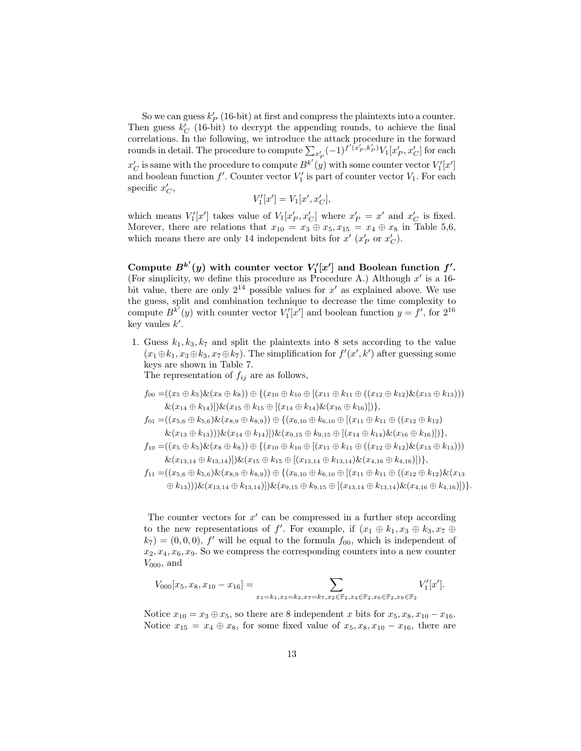So we can guess  $k'_{P}$  (16-bit) at first and compress the plaintexts into a counter. Then guess  $k_C'$  (16-bit) to decrypt the appending rounds, to achieve the final correlations. In the following, we introduce the attack procedure in the forward rounds in detail. The procedure to compute  $\sum_{x'_{P}} (-1)^{f'(\tilde{x}'_{P}, k'_{P})} V_1[x'_{P}, x'_{C}]$  for each  $x_C'$  is same with the procedure to compute  $B^{k'}(y)$  with some counter vector  $V'_1[x']$ and boolean function  $f'$ . Counter vector  $V'_1$  is part of counter vector  $V_1$ . For each specific  $x_C'$ ,

$$
V_1'[x'] = V_1[x', x'_C],
$$

which means  $V'_1[x']$  takes value of  $V_1[x'_P, x'_C]$  where  $x'_P = x'$  and  $x'_C$  is fixed. Morever, there are relations that  $x_{10} = x_3 \oplus x_5, x_{15} = x_4 \oplus x_8$  in Table 5,6, which means there are only 14 independent bits for  $x'$  ( $x'_P$  or  $x'_C$ ).

Compute  $B^{k'}(y)$  with counter vector  $V'_1[x']$  and Boolean function  $f'.$ (For simplicity, we define this procedure as Procedure A.) Although  $x'$  is a 16bit value, there are only  $2^{14}$  possible values for x' as explained above. We use the guess, split and combination technique to decrease the time complexity to compute  $B^{k'}(y)$  with counter vector  $V'_1[x']$  and boolean function  $y = f'$ , for  $2^{16}$ key vaules  $k'$ .

1. Guess  $k_1, k_3, k_7$  and split the plaintexts into 8 sets according to the value  $(x_1 \oplus k_1, x_3 \oplus k_3, x_7 \oplus k_7)$ . The simplification for  $f'(x', k')$  after guessing some keys are shown in Table 7.

The representation of  $f_{ij}$  are as follows,

$$
f_{00} = ((x_5 \oplus k_5) \& (x_8 \oplus k_8)) \oplus \{(x_{10} \oplus k_{10} \oplus [(x_{11} \oplus k_{11} \oplus ((x_{12} \oplus k_{12}) \& (x_{13} \oplus k_{13})))
$$
  

$$
\& (x_{14} \oplus k_{14})](\& (x_{15} \oplus k_{15} \oplus [(x_{14} \oplus k_{14}) \& (x_{16} \oplus k_{16})])\},
$$

 $f_{01} = ((x_{5,6} \oplus k_{5,6}) \& (x_{8,9} \oplus k_{8,9})) \oplus \{(x_{6,10} \oplus k_{6,10} \oplus (x_{11} \oplus k_{11} \oplus (x_{12} \oplus k_{12}))\}$  $\&(x_{13} \oplus k_{13}))\&(x_{14} \oplus k_{14})]\&(x_{9,15} \oplus k_{9,15} \oplus [(x_{14} \oplus k_{14})\&(x_{16} \oplus k_{16})])\},$ 

$$
f_{10} = ((x_5 \oplus k_5) \& (x_8 \oplus k_8)) \oplus \{(x_{10} \oplus k_{10} \oplus [(x_{11} \oplus k_{11} \oplus ((x_{12} \oplus k_{12}) \& (x_{13} \oplus k_{13})))
$$
  

$$
\& (x_{13,14} \oplus k_{13,14})[\& (x_{15} \oplus k_{15} \oplus [(x_{13,14} \oplus k_{13,14}) \& (x_{4,16} \oplus k_{4,16})])\},
$$

 $f_{11} = ((x_{5,6} \oplus k_{5,6}) \& (x_{8,9} \oplus k_{8,9})) \oplus \{(x_{6,10} \oplus k_{6,10} \oplus [(x_{11} \oplus k_{11} \oplus ((x_{12} \oplus k_{12}) \& (x_{13}$  $(\oplus k_{13})))\&(x_{13,14} \oplus k_{13,14})\&(x_{9,15} \oplus k_{9,15} \oplus (x_{13,14} \oplus k_{13,14})\&(x_{4,16} \oplus k_{4,16})])\}.$ 

The counter vectors for  $x'$  can be compressed in a further step according to the new representations of f'. For example, if  $(x_1 \oplus k_1, x_3 \oplus k_3, x_7 \oplus$  $(k_7) = (0, 0, 0), f'$  will be equal to the formula  $f_{00}$ , which is independent of  $x_2, x_4, x_6, x_9$ . So we compress the corresponding counters into a new counter  $V_{000}$ , and

$$
V_{000}[x_5, x_8, x_{10} - x_{16}] = \sum_{x_1 = k_1, x_3 = k_3, x_7 = k_7, x_2 \in \mathbb{F}_2, x_4 \in \mathbb{F}_2, x_6 \in \mathbb{F}_2, x_9 \in \mathbb{F}_2} V'_1[x'].
$$

Notice  $x_{10} = x_3 \oplus x_5$ , so there are 8 independent x bits for  $x_5, x_8, x_{10} - x_{16}$ . Notice  $x_{15} = x_4 \oplus x_8$ , for some fixed value of  $x_5, x_8, x_{10} - x_{16}$ , there are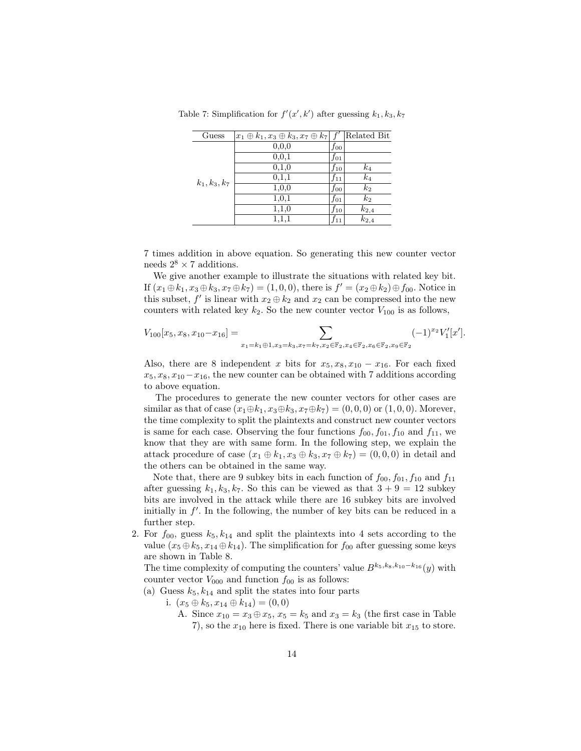| Guess           | $ x_1 \oplus k_1, x_3 \oplus k_3, x_7 \oplus k_7   f'$ |          | Related Bit    |
|-----------------|--------------------------------------------------------|----------|----------------|
|                 | 0, 0, 0                                                | $f_{00}$ |                |
| $k_1, k_3, k_7$ | 0,0,1                                                  | $f_{01}$ |                |
|                 | 0,1,0                                                  | $f_{10}$ | $k_4$          |
|                 | 0,1,1                                                  | $f_{11}$ | $k_4$          |
|                 | 1,0,0                                                  | fоо      | k <sub>2</sub> |
|                 | 1,0,1                                                  | $f_{01}$ | k <sub>2</sub> |
|                 | 1,1,0                                                  | $f_{10}$ | $k_{2,4}$      |
|                 | 1,1,1                                                  | 111      | $k_{2,4}$      |

Table 7: Simplification for  $f'(x', k')$  after guessing  $k_1, k_3, k_7$ 

7 times addition in above equation. So generating this new counter vector needs  $2^8 \times 7$  additions.

We give another example to illustrate the situations with related key bit. If  $(x_1 \oplus k_1, x_3 \oplus k_3, x_7 \oplus k_7) = (1, 0, 0)$ , there is  $f' = (x_2 \oplus k_2) \oplus f_{00}$ . Notice in this subset,  $f'$  is linear with  $x_2 \oplus k_2$  and  $x_2$  can be compressed into the new counters with related key  $k_2$ . So the new counter vector  $V_{100}$  is as follows,

$$
V_{100}[x_5, x_8, x_{10}-x_{16}] = \sum_{x_1=k_1 \oplus 1, x_3=k_3, x_7=k_7, x_2 \in \mathbb{F}_2, x_4 \in \mathbb{F}_2, x_6 \in \mathbb{F}_2, x_9 \in \mathbb{F}_2} (-1)^{x_2} V'_1[x'].
$$

Also, there are 8 independent x bits for  $x_5, x_8, x_{10} - x_{16}$ . For each fixed  $x_5, x_8, x_{10}-x_{16}$ , the new counter can be obtained with 7 additions according to above equation.

The procedures to generate the new counter vectors for other cases are similar as that of case  $(x_1 \oplus k_1, x_3 \oplus k_3, x_7 \oplus k_7) = (0, 0, 0)$  or  $(1, 0, 0)$ . Morever, the time complexity to split the plaintexts and construct new counter vectors is same for each case. Observing the four functions  $f_{00}, f_{01}, f_{10}$  and  $f_{11}$ , we know that they are with same form. In the following step, we explain the attack procedure of case  $(x_1 \oplus k_1, x_3 \oplus k_3, x_7 \oplus k_7) = (0, 0, 0)$  in detail and the others can be obtained in the same way.

Note that, there are 9 subkey bits in each function of  $f_{00}$ ,  $f_{01}$ ,  $f_{10}$  and  $f_{11}$ after guessing  $k_1, k_3, k_7$ . So this can be viewed as that  $3 + 9 = 12$  subkey bits are involved in the attack while there are 16 subkey bits are involved initially in  $f'$ . In the following, the number of key bits can be reduced in a further step.

2. For  $f_{00}$ , guess  $k_5, k_{14}$  and split the plaintexts into 4 sets according to the value  $(x_5 \oplus k_5, x_{14} \oplus k_{14})$ . The simplification for  $f_{00}$  after guessing some keys are shown in Table 8.

The time complexity of computing the counters' value  $B^{k_5,k_8,k_{10}-k_{16}}(y)$  with counter vector  $V_{000}$  and function  $f_{00}$  is as follows:

(a) Guess  $k_5, k_{14}$  and split the states into four parts

- i.  $(x_5 \oplus k_5, x_{14} \oplus k_{14}) = (0,0)$ 
	- A. Since  $x_{10} = x_3 \oplus x_5$ ,  $x_5 = k_5$  and  $x_3 = k_3$  (the first case in Table 7), so the  $x_{10}$  here is fixed. There is one variable bit  $x_{15}$  to store.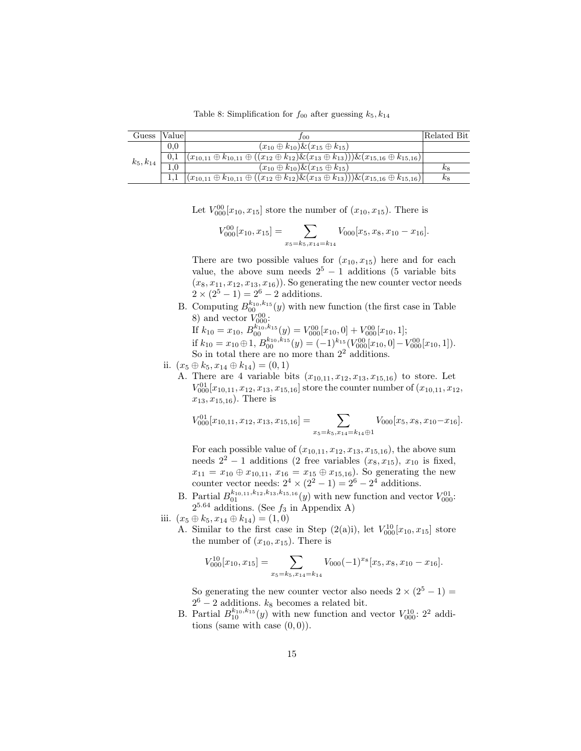Table 8: Simplification for  $f_{00}$  after guessing  $k_5, k_{14}$ 

| Guess        | Valuel | J00                                                                                                                        | Related Bit |
|--------------|--------|----------------------------------------------------------------------------------------------------------------------------|-------------|
|              | 0.0    | $(x_{10} \oplus k_{10}) \& (x_{15} \oplus k_{15})$                                                                         |             |
| $k_5,k_{14}$ | 0.1    | $ (x_{10,11} \oplus k_{10,11} \oplus ((x_{12} \oplus k_{12}) \& (x_{13} \oplus k_{13}))) \& (x_{15,16} \oplus k_{15,16}) $ |             |
|              |        | $(x_{10} \oplus k_{10}) \& (x_{15} \oplus k_{15})$                                                                         | $\kappa$ 8  |
|              |        | $ (x_{10,11} \oplus k_{10,11} \oplus ((x_{12} \oplus k_{12}) \& (x_{13} \oplus k_{13}))) \& (x_{15,16} \oplus k_{15,16}) $ | $k_8$       |

Let  $V_{000}^{00}[x_{10}, x_{15}]$  store the number of  $(x_{10}, x_{15})$ . There is

$$
V_{000}^{00}[x_{10}, x_{15}] = \sum_{x_5=k_5, x_{14}=k_{14}} V_{000}[x_5, x_8, x_{10} - x_{16}].
$$

There are two possible values for  $(x_{10}, x_{15})$  here and for each value, the above sum needs  $2^5 - 1$  additions (5 variable bits  $(x_8, x_{11}, x_{12}, x_{13}, x_{16})$ . So generating the new counter vector needs  $2 \times (2^5 - 1) = 2^6 - 2$  additions.

B. Computing  $B_{00}^{k_{10},k_{15}}(y)$  with new function (the first case in Table 8) and vector  $V_{000}^{00}$ :

If  $k_{10} = x_{10}, B_{00}^{k_{10}, k_{15}}(y) = V_{000}^{00}[x_{10}, 0] + V_{000}^{00}[x_{10}, 1];$ if  $k_{10} = x_{10} \oplus 1, B_{00}^{k_{10}, k_{15}}(y) = (-1)^{k_{15}} (V_{000}^{00}[x_{10}, 0] - V_{000}^{00}[x_{10}, 1]).$ So in total there are no more than  $2<sup>2</sup>$  additions.

- ii.  $(x_5 \oplus k_5, x_{14} \oplus k_{14}) = (0, 1)$ 
	- A. There are 4 variable bits  $(x_{10,11}, x_{12}, x_{13}, x_{15,16})$  to store. Let  $V_{000}^{01}[x_{10,11}, x_{12}, x_{13}, x_{15,16}]$  store the counter number of  $(x_{10,11}, x_{12},$  $x_{13}, x_{15,16}$ ). There is

$$
V_{000}^{01}[x_{10,11}, x_{12}, x_{13}, x_{15,16}] = \sum_{x_5=k_5, x_{14}=k_{14}\oplus 1} V_{000}[x_5, x_8, x_{10}-x_{16}].
$$

For each possible value of  $(x_{10,11}, x_{12}, x_{13}, x_{15,16})$ , the above sum needs  $2^2 - 1$  additions (2 free variables  $(x_8, x_{15})$ ,  $x_{10}$  is fixed,  $x_{11} = x_{10} \oplus x_{10,11}, x_{16} = x_{15} \oplus x_{15,16}$ . So generating the new counter vector needs:  $2^4 \times (2^2 - 1) = 2^6 - 2^4$  additions.

B. Partial  $B_{01}^{k_{10,11},k_{12},k_{13},k_{15,16}}(y)$  with new function and vector  $V_{000}^{01}$ :  $2^{5.64}$  additions. (See  $f_3$  in Appendix A)

iii.  $(x_5 \oplus k_5, x_{14} \oplus k_{14}) = (1, 0)$ 

A. Similar to the first case in Step  $(2(a)i)$ , let  $V_{000}^{10}[x_{10}, x_{15}]$  store the number of  $(x_{10}, x_{15})$ . There is

$$
V_{000}^{10}[x_{10}, x_{15}] = \sum_{x_5=k_5, x_{14}=k_{14}} V_{000}(-1)^{x_8}[x_5, x_8, x_{10} - x_{16}].
$$

So generating the new counter vector also needs  $2 \times (2^5 - 1) =$  $2^6 - 2$  additions.  $k_8$  becomes a related bit.

B. Partial  $B_{10}^{k_{10},k_{15}}(y)$  with new function and vector  $V_{000}^{10}$ : 2<sup>2</sup> additions (same with case  $(0, 0)$ ).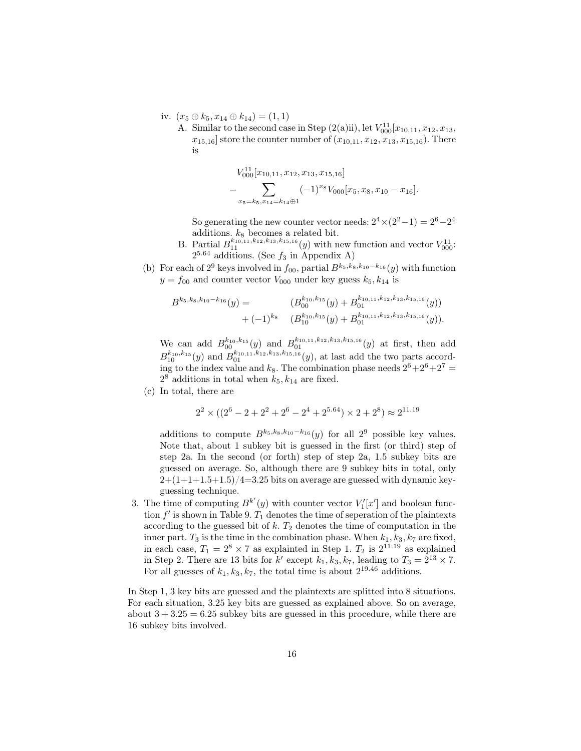- iv.  $(x_5 \oplus k_5, x_{14} \oplus k_{14}) = (1, 1)$ 
	- A. Similar to the second case in Step  $(2(a)ii)$ , let  $V_{000}^{11}[x_{10,11}, x_{12}, x_{13},$  $x_{15,16}$  store the counter number of  $(x_{10,11}, x_{12}, x_{13}, x_{15,16})$ . There is

$$
V_{000}^{11}[x_{10,11}, x_{12}, x_{13}, x_{15,16}]
$$
  
= 
$$
\sum_{x_5=k_5, x_{14}=k_{14}\oplus 1} (-1)^{x_8} V_{000}[x_5, x_8, x_{10}-x_{16}].
$$

So generating the new counter vector needs:  $2^4 \times (2^2 - 1) = 2^6 - 2^4$ additions.  $k_8$  becomes a related bit.

- B. Partial  $B_{11}^{k_{10},11,k_{12},k_{13},k_{15,16}}(y)$  with new function and vector  $V_{000}^{11}$ .  $2^{5.64}$  additions. (See  $f_3$  in Appendix A)
- (b) For each of  $2^9$  keys involved in  $f_{00}$ , partial  $B^{k_5,k_8,k_{10}-k_{16}}(y)$  with function  $y = f_{00}$  and counter vector  $V_{000}$  under key guess  $k_5, k_{14}$  is

$$
B^{k_5,k_8,k_{10}-k_{16}}(y) = (B^{k_{10},k_{15}}_{00}(y) + B^{k_{10,11},k_{12},k_{13},k_{15,16}}_{01}(y))
$$
  
+  $(-1)^{k_8}$   $(B^{k_{10},k_{15}}_{10}(y) + B^{k_{10,11},k_{12},k_{13},k_{15,16}}_{01}(y)).$ 

We can add  $B_{00}^{k_{10},k_{15}}(y)$  and  $B_{01}^{k_{10,11},k_{12},k_{13},k_{15,16}}(y)$  at first, then add  $B_{10}^{k_{10},k_{15}}(y)$  and  $B_{01}^{k_{10,11},k_{12},k_{13},k_{15,16}}(y)$ , at last add the two parts according to the index value and  $k_8$ . The combination phase needs  $2^6 + 2^6 + 2^7 =$  $2^8$  additions in total when  $k_5, k_{14}$  are fixed.

(c) In total, there are

$$
2^2 \times ((2^6 - 2 + 2^2 + 2^6 - 2^4 + 2^{5.64}) \times 2 + 2^8) \approx 2^{11.19}
$$

additions to compute  $B^{k_5,k_8,k_{10}-k_{16}}(y)$  for all  $2^9$  possible key values. Note that, about 1 subkey bit is guessed in the first (or third) step of step 2a. In the second (or forth) step of step 2a, 1.5 subkey bits are guessed on average. So, although there are 9 subkey bits in total, only  $2+(1+1+1.5+1.5)/4=3.25$  bits on average are guessed with dynamic keyguessing technique.

3. The time of computing  $B^{k'}(y)$  with counter vector  $V'_1[x']$  and boolean function  $f'$  is shown in Table 9.  $T_1$  denotes the time of seperation of the plaintexts according to the guessed bit of  $k$ .  $T_2$  denotes the time of computation in the inner part.  $T_3$  is the time in the combination phase. When  $k_1, k_3, k_7$  are fixed, in each case,  $T_1 = 2^8 \times 7$  as explainted in Step 1.  $T_2$  is  $2^{11.19}$  as explained in Step 2. There are 13 bits for k' except  $k_1, k_3, k_7$ , leading to  $T_3 = 2^{13} \times 7$ . For all guesses of  $k_1, k_3, k_7$ , the total time is about  $2^{19.46}$  additions.

In Step 1, 3 key bits are guessed and the plaintexts are splitted into 8 situations. For each situation, 3.25 key bits are guessed as explained above. So on average, about  $3 + 3.25 = 6.25$  subkey bits are guessed in this procedure, while there are 16 subkey bits involved.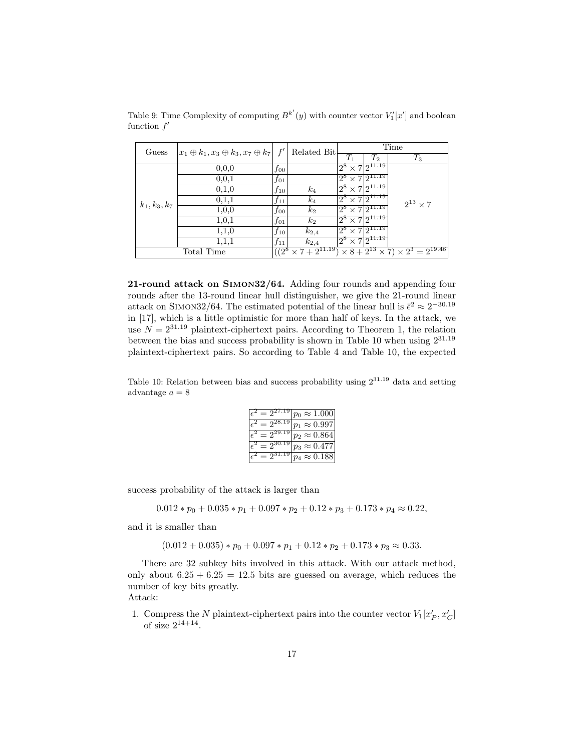| Guess           |            |          | $ x_1 \oplus k_1, x_3 \oplus k_3, x_7 \oplus k_7  f'$ |                                       | Related Bit                    |                                                     | Time |  |  |  |
|-----------------|------------|----------|-------------------------------------------------------|---------------------------------------|--------------------------------|-----------------------------------------------------|------|--|--|--|
|                 |            |          |                                                       | $T_1$                                 | $T_2$                          | $T_3$                                               |      |  |  |  |
|                 | 0, 0, 0    | $f_{00}$ |                                                       | $2^8 \times 72^{11.19}$               |                                |                                                     |      |  |  |  |
|                 | 0, 0, 1    | $f_{01}$ |                                                       | $2^8$                                 | $\times 7\overline{2^{11.19}}$ |                                                     |      |  |  |  |
|                 | 0,1,0      | $f_{10}$ | $k_4$                                                 | $2^8 \times 7$ $\overline{2^{11.19}}$ |                                |                                                     |      |  |  |  |
| $k_1, k_3, k_7$ | 0,1,1      | $f_{11}$ | $k_4$                                                 | $2^8 \times 72^{11.19}$               |                                | $2^{13} \times 7$                                   |      |  |  |  |
|                 | 1,0,0      | $f_{00}$ | $k_2$                                                 | $2^8 \times 7\sqrt{2^{11.19}}$        |                                |                                                     |      |  |  |  |
|                 | 1,0,1      | $f_{01}$ | $k_2$                                                 | $2^8 \times 72^{11.19}$               |                                |                                                     |      |  |  |  |
|                 | 1,1,0      | $f_{10}$ | $k_{2,4}$                                             | $2^8 \times 72^{11.19}$               |                                |                                                     |      |  |  |  |
|                 | 1,1,1      | $f_{11}$ | $k_{2,4}$                                             | $2^8 \times 72^{11.19}$               |                                |                                                     |      |  |  |  |
|                 | Total Time | $(2^8)$  | $\times$ 7 + $2^{11.19}$                              |                                       |                                | $\times 8 + 2^{13} \times 7 \times 2^3 = 2^{19.46}$ |      |  |  |  |

Table 9: Time Complexity of computing  $B^{k'}(y)$  with counter vector  $V'_1[x']$  and boolean function  $f'$ 

21-round attack on Simon32/64. Adding four rounds and appending four rounds after the 13-round linear hull distinguisher, we give the 21-round linear attack on SIMON32/64. The estimated potential of the linear hull is  $\bar{\epsilon}^2 \approx 2^{-30.19}$ in [17], which is a little optimistic for more than half of keys. In the attack, we use  $N = 2^{31.19}$  plaintext-ciphertext pairs. According to Theorem 1, the relation between the bias and success probability is shown in Table 10 when using  $2^{31.19}$ plaintext-ciphertext pairs. So according to Table 4 and Table 10, the expected

Table 10: Relation between bias and success probability using  $2^{31.19}$  data and setting advantage  $a = 8$ 

| $-2^{2(1)}$   | $p_0 \approx 1.000$            |
|---------------|--------------------------------|
| $= 2^{28.15}$ | $p_1 \approx 0.997$            |
| $= 2^{29.19}$ | $p_2 \approx 0.864$            |
| $= 2^{30.19}$ | $p_3 \approx 0.\overline{477}$ |
|               | $p_A \approx 0.188$            |

success probability of the attack is larger than

 $0.012*p_0+0.035*p_1+0.097*p_2+0.12*p_3+0.173*p_4\approx 0.22,$ 

and it is smaller than

$$
(0.012 + 0.035) * p_0 + 0.097 * p_1 + 0.12 * p_2 + 0.173 * p_3 \approx 0.33.
$$

There are 32 subkey bits involved in this attack. With our attack method, only about  $6.25 + 6.25 = 12.5$  bits are guessed on average, which reduces the number of key bits greatly.

Attack:

1. Compress the  $N$  plaintext-ciphertext pairs into the counter vector  $V_1[x'_P, x'_C]$ of size  $2^{14+14}$ .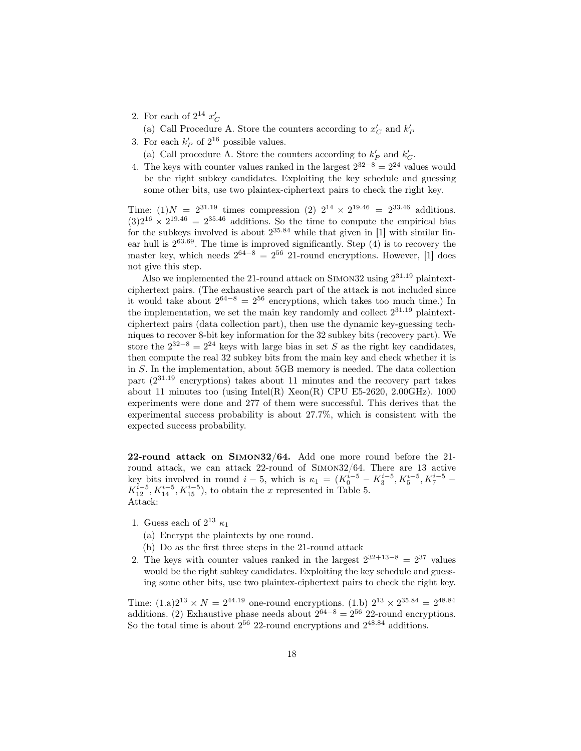- 2. For each of  $2^{14} x_C'$ 
	- (a) Call Procedure A. Store the counters according to  $x_C^{\prime}$  and  $k_F^{\prime}$
- 3. For each  $k'_P$  of  $2^{16}$  possible values.
	- (a) Call procedure A. Store the counters according to  $k_P^\prime$  and  $k_C^\prime.$
- 4. The keys with counter values ranked in the largest  $2^{32-8} = 2^{24}$  values would be the right subkey candidates. Exploiting the key schedule and guessing some other bits, use two plaintex-ciphertext pairs to check the right key.

Time: (1)  $N = 2^{31.19}$  times compression (2)  $2^{14} \times 2^{19.46} = 2^{33.46}$  additions.  $(3)2^{16} \times 2^{19.46} = 2^{35.46}$  additions. So the time to compute the empirical bias for the subkeys involved is about  $2^{35.84}$  while that given in [1] with similar linear hull is 2 <sup>63</sup>.69. The time is improved significantly. Step (4) is to recovery the master key, which needs  $2^{64-8} = 2^{56}$  21-round encryptions. However, [1] does not give this step.

Also we implemented the 21-round attack on SIMON32 using  $2^{31.19}$  plaintextciphertext pairs. (The exhaustive search part of the attack is not included since it would take about  $2^{64-8} = 2^{56}$  encryptions, which takes too much time.) In the implementation, we set the main key randomly and collect  $2^{31.19}$  plaintextciphertext pairs (data collection part), then use the dynamic key-guessing techniques to recover 8-bit key information for the 32 subkey bits (recovery part). We store the  $2^{32-8} = 2^{24}$  keys with large bias in set S as the right key candidates, then compute the real 32 subkey bits from the main key and check whether it is in S. In the implementation, about 5GB memory is needed. The data collection part (2 <sup>31</sup>.<sup>19</sup> encryptions) takes about 11 minutes and the recovery part takes about 11 minutes too (using Intel $(R)$  Xeon $(R)$  CPU E5-2620, 2.00GHz). 1000 experiments were done and 277 of them were successful. This derives that the experimental success probability is about 27.7%, which is consistent with the expected success probability.

22-round attack on Simon32/64. Add one more round before the 21 round attack, we can attack 22-round of Simon32/64. There are 13 active key bits involved in round  $i-5$ , which is  $\kappa_1 = (K_0^{i-5} - K_3^{i-5}, K_5^{i-5}, K_7^{i-5} K_{12}^{i-5}$ ,  $K_{14}^{i-5}$ ,  $K_{15}^{i-5}$ ), to obtain the x represented in Table 5. Attack:

- 1. Guess each of  $2^{13} \kappa_1$ 
	- (a) Encrypt the plaintexts by one round.
	- (b) Do as the first three steps in the 21-round attack
- 2. The keys with counter values ranked in the largest  $2^{32+13-8} = 2^{37}$  values would be the right subkey candidates. Exploiting the key schedule and guessing some other bits, use two plaintex-ciphertext pairs to check the right key.

Time:  $(1.a)2^{13} \times N = 2^{44.19}$  one-round encryptions.  $(1.b) 2^{13} \times 2^{35.84} = 2^{48.84}$ additions. (2) Exhaustive phase needs about  $2^{64-8} = 2^{56}$  22-round encryptions. So the total time is about  $2^{56}$  22-round encryptions and  $2^{48.84}$  additions.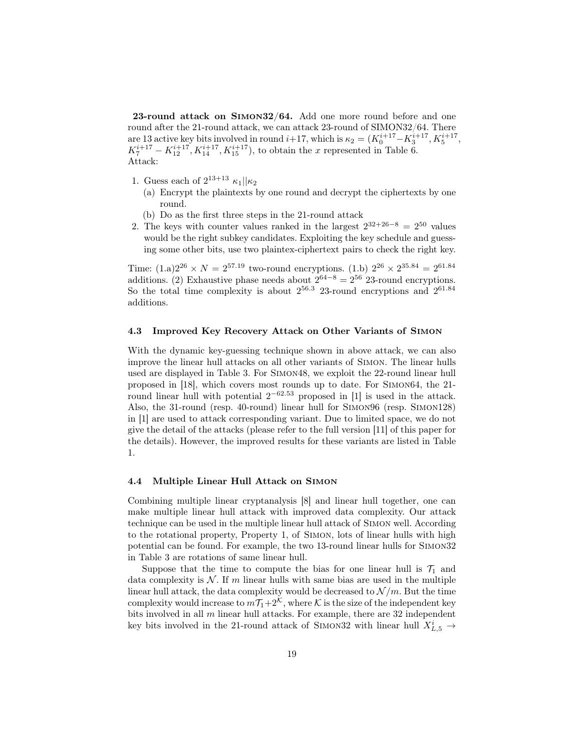23-round attack on Simon32/64. Add one more round before and one round after the 21-round attack, we can attack 23-round of SIMON32/64. There are 13 active key bits involved in round  $i+17$ , which is  $\kappa_2 = (K_0^{i+17} - K_3^{i+17}, K_5^{i+17})$ ,  $K_7^{i+17} - K_{12}^{i+17}, K_{14}^{i+17}, K_{15}^{i+17}$ , to obtain the x represented in Table 6. Attack:

- 1. Guess each of  $2^{13+13} \kappa_1 || \kappa_2$ 
	- (a) Encrypt the plaintexts by one round and decrypt the ciphertexts by one round.
	- (b) Do as the first three steps in the 21-round attack
- 2. The keys with counter values ranked in the largest  $2^{32+26-8} = 2^{50}$  values would be the right subkey candidates. Exploiting the key schedule and guessing some other bits, use two plaintex-ciphertext pairs to check the right key.

Time:  $(1.a)2^{26} \times N = 2^{57.19}$  two-round encryptions.  $(1.b) 2^{26} \times 2^{35.84} = 2^{61.84}$ additions. (2) Exhaustive phase needs about  $2^{64-8} = 2^{56}$  23-round encryptions. So the total time complexity is about  $2^{56.3}$  23-round encryptions and  $2^{61.84}$ additions.

### 4.3 Improved Key Recovery Attack on Other Variants of Simon

With the dynamic key-guessing technique shown in above attack, we can also improve the linear hull attacks on all other variants of Simon. The linear hulls used are displayed in Table 3. For Simon48, we exploit the 22-round linear hull proposed in [18], which covers most rounds up to date. For Simon64, the 21 round linear hull with potential  $2^{-62.53}$  proposed in [1] is used in the attack. Also, the 31-round (resp. 40-round) linear hull for Simon96 (resp. Simon128) in [1] are used to attack corresponding variant. Due to limited space, we do not give the detail of the attacks (please refer to the full version [11] of this paper for the details). However, the improved results for these variants are listed in Table 1.

### 4.4 Multiple Linear Hull Attack on Simon

Combining multiple linear cryptanalysis [8] and linear hull together, one can make multiple linear hull attack with improved data complexity. Our attack technique can be used in the multiple linear hull attack of Simon well. According to the rotational property, Property 1, of Simon, lots of linear hulls with high potential can be found. For example, the two 13-round linear hulls for Simon32 in Table 3 are rotations of same linear hull.

Suppose that the time to compute the bias for one linear hull is  $\mathcal{T}_1$  and data complexity is  $N$ . If m linear hulls with same bias are used in the multiple linear hull attack, the data complexity would be decreased to  $\mathcal{N}/m$ . But the time complexity would increase to  $m\overline{\mathcal{T}_1}+2^{\mathcal{K}}$ , where  $\mathcal K$  is the size of the independent key bits involved in all  $m$  linear hull attacks. For example, there are 32 independent key bits involved in the 21-round attack of SIMON32 with linear hull  $X_{L,5}^i \rightarrow$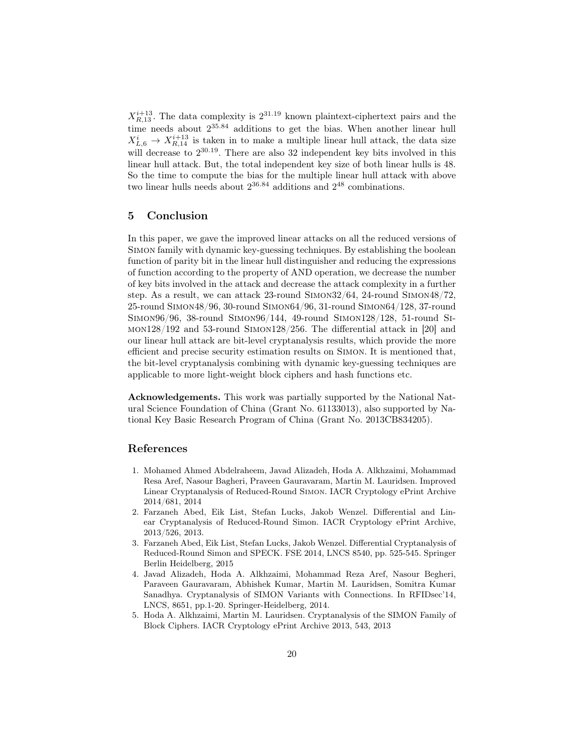$X_{R,13}^{i+13}$ . The data complexity is  $2^{31.19}$  known plaintext-ciphertext pairs and the time needs about  $2^{35.84}$  additions to get the bias. When another linear hull  $X_{L,6}^i \rightarrow X_{R,14}^{i+13}$  is taken in to make a multiple linear hull attack, the data size will decrease to  $2^{30.19}$ . There are also 32 independent key bits involved in this linear hull attack. But, the total independent key size of both linear hulls is 48. So the time to compute the bias for the multiple linear hull attack with above two linear hulls needs about  $2^{36.84}$  additions and  $2^{48}$  combinations.

# 5 Conclusion

In this paper, we gave the improved linear attacks on all the reduced versions of Simon family with dynamic key-guessing techniques. By establishing the boolean function of parity bit in the linear hull distinguisher and reducing the expressions of function according to the property of AND operation, we decrease the number of key bits involved in the attack and decrease the attack complexity in a further step. As a result, we can attack 23-round Simon32/64, 24-round Simon48/72, 25-round Simon48/96, 30-round Simon64/96, 31-round Simon64/128, 37-round Simon96/96, 38-round Simon96/144, 49-round Simon128/128, 51-round Simon128/192 and 53-round Simon128/256. The differential attack in [20] and our linear hull attack are bit-level cryptanalysis results, which provide the more efficient and precise security estimation results on Simon. It is mentioned that, the bit-level cryptanalysis combining with dynamic key-guessing techniques are applicable to more light-weight block ciphers and hash functions etc.

Acknowledgements. This work was partially supported by the National Natural Science Foundation of China (Grant No. 61133013), also supported by National Key Basic Research Program of China (Grant No. 2013CB834205).

## References

- 1. Mohamed Ahmed Abdelraheem, Javad Alizadeh, Hoda A. Alkhzaimi, Mohammad Resa Aref, Nasour Bagheri, Praveen Gauravaram, Martin M. Lauridsen. Improved Linear Cryptanalysis of Reduced-Round Simon. IACR Cryptology ePrint Archive 2014/681, 2014
- 2. Farzaneh Abed, Eik List, Stefan Lucks, Jakob Wenzel. Differential and Linear Cryptanalysis of Reduced-Round Simon. IACR Cryptology ePrint Archive, 2013/526, 2013.
- 3. Farzaneh Abed, Eik List, Stefan Lucks, Jakob Wenzel. Differential Cryptanalysis of Reduced-Round Simon and SPECK. FSE 2014, LNCS 8540, pp. 525-545. Springer Berlin Heidelberg, 2015
- 4. Javad Alizadeh, Hoda A. Alkhzaimi, Mohammad Reza Aref, Nasour Begheri, Paraveen Gauravaram, Abhishek Kumar, Martin M. Lauridsen, Somitra Kumar Sanadhya. Cryptanalysis of SIMON Variants with Connections. In RFIDsec'14, LNCS, 8651, pp.1-20. Springer-Heidelberg, 2014.
- 5. Hoda A. Alkhzaimi, Martin M. Lauridsen. Cryptanalysis of the SIMON Family of Block Ciphers. IACR Cryptology ePrint Archive 2013, 543, 2013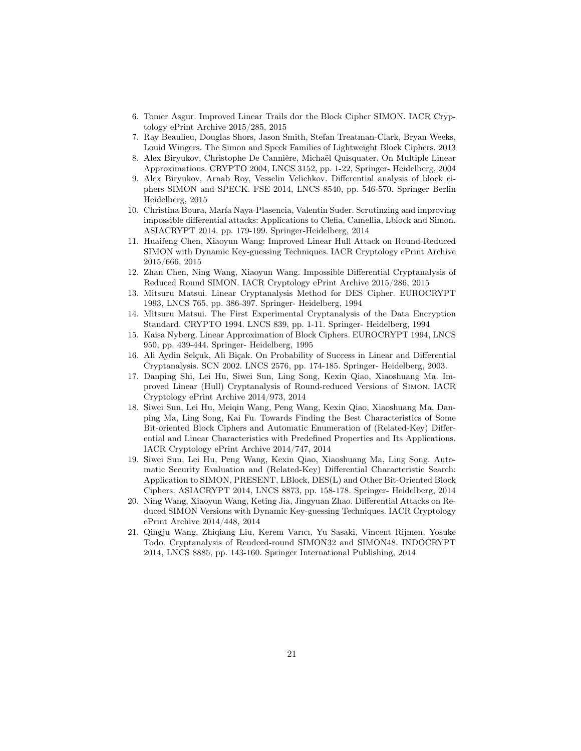- 6. Tomer Asgur. Improved Linear Trails dor the Block Cipher SIMON. IACR Cryptology ePrint Archive 2015/285, 2015
- 7. Ray Beaulieu, Douglas Shors, Jason Smith, Stefan Treatman-Clark, Bryan Weeks, Louid Wingers. The Simon and Speck Families of Lightweight Block Ciphers. 2013
- 8. Alex Biryukov, Christophe De Cannière, Michaël Quisquater. On Multiple Linear Approximations. CRYPTO 2004, LNCS 3152, pp. 1-22, Springer- Heidelberg, 2004
- 9. Alex Biryukov, Arnab Roy, Vesselin Velichkov. Differential analysis of block ciphers SIMON and SPECK. FSE 2014, LNCS 8540, pp. 546-570. Springer Berlin Heidelberg, 2015
- 10. Christina Boura, María Naya-Plasencia, Valentin Suder. Scrutinzing and improving impossible differential attacks: Applications to Clefia, Camellia, Lblock and Simon. ASIACRYPT 2014. pp. 179-199. Springer-Heidelberg, 2014
- 11. Huaifeng Chen, Xiaoyun Wang: Improved Linear Hull Attack on Round-Reduced SIMON with Dynamic Key-guessing Techniques. IACR Cryptology ePrint Archive 2015/666, 2015
- 12. Zhan Chen, Ning Wang, Xiaoyun Wang. Impossible Differential Cryptanalysis of Reduced Round SIMON. IACR Cryptology ePrint Archive 2015/286, 2015
- 13. Mitsuru Matsui. Linear Cryptanalysis Method for DES Cipher. EUROCRYPT 1993, LNCS 765, pp. 386-397. Springer- Heidelberg, 1994
- 14. Mitsuru Matsui. The First Experimental Cryptanalysis of the Data Encryption Standard. CRYPTO 1994. LNCS 839, pp. 1-11. Springer- Heidelberg, 1994
- 15. Kaisa Nyberg. Linear Approximation of Block Ciphers. EUROCRYPT 1994, LNCS 950, pp. 439-444. Springer- Heidelberg, 1995
- 16. Ali Aydin Selçuk, Ali Biçak. On Probability of Success in Linear and Differential Cryptanalysis. SCN 2002. LNCS 2576, pp. 174-185. Springer- Heidelberg, 2003.
- 17. Danping Shi, Lei Hu, Siwei Sun, Ling Song, Kexin Qiao, Xiaoshuang Ma. Improved Linear (Hull) Cryptanalysis of Round-reduced Versions of Simon. IACR Cryptology ePrint Archive 2014/973, 2014
- 18. Siwei Sun, Lei Hu, Meiqin Wang, Peng Wang, Kexin Qiao, Xiaoshuang Ma, Danping Ma, Ling Song, Kai Fu. Towards Finding the Best Characteristics of Some Bit-oriented Block Ciphers and Automatic Enumeration of (Related-Key) Differential and Linear Characteristics with Predefined Properties and Its Applications. IACR Cryptology ePrint Archive 2014/747, 2014
- 19. Siwei Sun, Lei Hu, Peng Wang, Kexin Qiao, Xiaoshuang Ma, Ling Song. Automatic Security Evaluation and (Related-Key) Differential Characteristic Search: Application to SIMON, PRESENT, LBlock, DES(L) and Other Bit-Oriented Block Ciphers. ASIACRYPT 2014, LNCS 8873, pp. 158-178. Springer- Heidelberg, 2014
- 20. Ning Wang, Xiaoyun Wang, Keting Jia, Jingyuan Zhao. Differential Attacks on Reduced SIMON Versions with Dynamic Key-guessing Techniques. IACR Cryptology ePrint Archive 2014/448, 2014
- 21. Qingju Wang, Zhiqiang Liu, Kerem Varıcı, Yu Sasaki, Vincent Rijmen, Yosuke Todo. Cryptanalysis of Reudced-round SIMON32 and SIMON48. INDOCRYPT 2014, LNCS 8885, pp. 143-160. Springer International Publishing, 2014